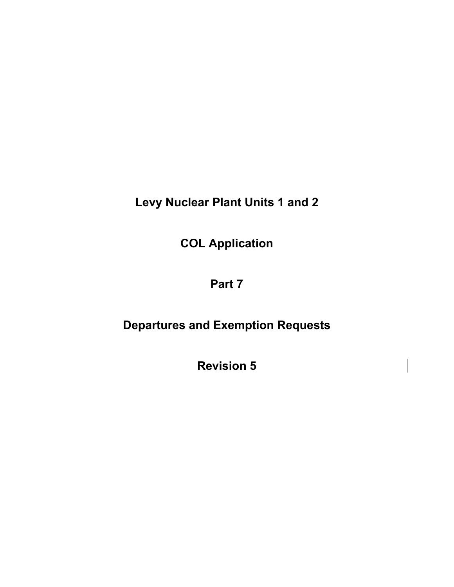**Levy Nuclear Plant Units 1 and 2** 

**COL Application** 

# **Part 7**

# **Departures and Exemption Requests**

**Revision 5**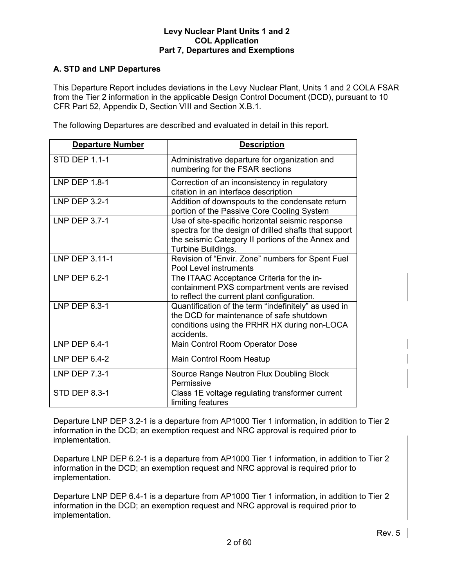# **A. STD and LNP Departures**

This Departure Report includes deviations in the Levy Nuclear Plant, Units 1 and 2 COLA FSAR from the Tier 2 information in the applicable Design Control Document (DCD), pursuant to 10 CFR Part 52, Appendix D, Section VIII and Section X.B.1.

The following Departures are described and evaluated in detail in this report.

| <b>Departure Number</b> | <b>Description</b>                                                                                                                                                                   |
|-------------------------|--------------------------------------------------------------------------------------------------------------------------------------------------------------------------------------|
| <b>STD DEP 1.1-1</b>    | Administrative departure for organization and<br>numbering for the FSAR sections                                                                                                     |
| LNP DEP $1.8-1$         | Correction of an inconsistency in regulatory<br>citation in an interface description                                                                                                 |
| LNP DEP 3.2-1           | Addition of downspouts to the condensate return<br>portion of the Passive Core Cooling System                                                                                        |
| LNP DEP 3.7-1           | Use of site-specific horizontal seismic response<br>spectra for the design of drilled shafts that support<br>the seismic Category II portions of the Annex and<br>Turbine Buildings. |
| LNP DEP 3.11-1          | Revision of "Envir. Zone" numbers for Spent Fuel<br><b>Pool Level instruments</b>                                                                                                    |
| LNP DEP 6.2-1           | The ITAAC Acceptance Criteria for the in-<br>containment PXS compartment vents are revised<br>to reflect the current plant configuration.                                            |
| LNP DEP 6.3-1           | Quantification of the term "indefinitely" as used in<br>the DCD for maintenance of safe shutdown<br>conditions using the PRHR HX during non-LOCA<br>accidents.                       |
| LNP DEP 6.4-1           | Main Control Room Operator Dose                                                                                                                                                      |
| LNP DEP 6.4-2           | Main Control Room Heatup                                                                                                                                                             |
| <b>LNP DEP 7.3-1</b>    | Source Range Neutron Flux Doubling Block<br>Permissive                                                                                                                               |
| <b>STD DEP 8.3-1</b>    | Class 1E voltage regulating transformer current<br>limiting features                                                                                                                 |

Departure LNP DEP 3.2-1 is a departure from AP1000 Tier 1 information, in addition to Tier 2 information in the DCD; an exemption request and NRC approval is required prior to implementation.

Departure LNP DEP 6.2-1 is a departure from AP1000 Tier 1 information, in addition to Tier 2 information in the DCD; an exemption request and NRC approval is required prior to implementation.

Departure LNP DEP 6.4-1 is a departure from AP1000 Tier 1 information, in addition to Tier 2 information in the DCD; an exemption request and NRC approval is required prior to implementation.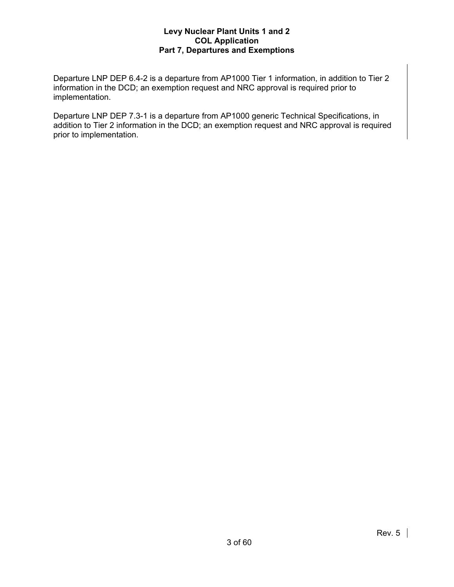Departure LNP DEP 6.4-2 is a departure from AP1000 Tier 1 information, in addition to Tier 2 information in the DCD; an exemption request and NRC approval is required prior to implementation.

Departure LNP DEP 7.3-1 is a departure from AP1000 generic Technical Specifications, in addition to Tier 2 information in the DCD; an exemption request and NRC approval is required prior to implementation.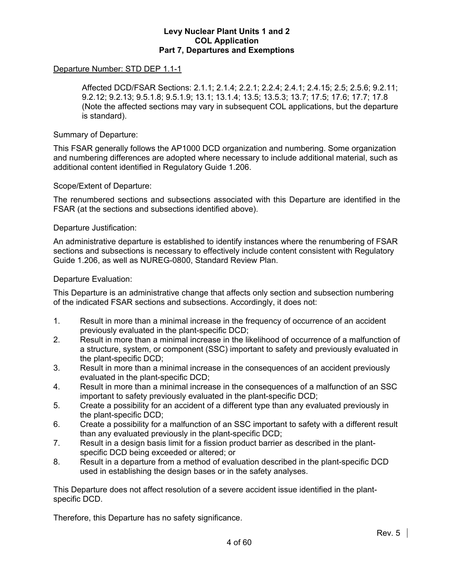# Departure Number: STD DEP 1.1-1

 Affected DCD/FSAR Sections: 2.1.1; 2.1.4; 2.2.1; 2.2.4; 2.4.1; 2.4.15; 2.5; 2.5.6; 9.2.11; 9.2.12; 9.2.13; 9.5.1.8; 9.5.1.9; 13.1; 13.1.4; 13.5; 13.5.3; 13.7; 17.5; 17.6; 17.7; 17.8 (Note the affected sections may vary in subsequent COL applications, but the departure is standard).

#### Summary of Departure:

This FSAR generally follows the AP1000 DCD organization and numbering. Some organization and numbering differences are adopted where necessary to include additional material, such as additional content identified in Regulatory Guide 1.206.

#### Scope/Extent of Departure:

The renumbered sections and subsections associated with this Departure are identified in the FSAR (at the sections and subsections identified above).

#### Departure Justification:

An administrative departure is established to identify instances where the renumbering of FSAR sections and subsections is necessary to effectively include content consistent with Regulatory Guide 1.206, as well as NUREG-0800, Standard Review Plan.

#### Departure Evaluation:

This Departure is an administrative change that affects only section and subsection numbering of the indicated FSAR sections and subsections. Accordingly, it does not:

- 1. Result in more than a minimal increase in the frequency of occurrence of an accident previously evaluated in the plant-specific DCD;
- 2. Result in more than a minimal increase in the likelihood of occurrence of a malfunction of a structure, system, or component (SSC) important to safety and previously evaluated in the plant-specific DCD;
- 3. Result in more than a minimal increase in the consequences of an accident previously evaluated in the plant-specific DCD;
- 4. Result in more than a minimal increase in the consequences of a malfunction of an SSC important to safety previously evaluated in the plant-specific DCD;
- 5. Create a possibility for an accident of a different type than any evaluated previously in the plant-specific DCD;
- 6. Create a possibility for a malfunction of an SSC important to safety with a different result than any evaluated previously in the plant-specific DCD;
- 7. Result in a design basis limit for a fission product barrier as described in the plantspecific DCD being exceeded or altered; or
- 8. Result in a departure from a method of evaluation described in the plant-specific DCD used in establishing the design bases or in the safety analyses.

This Departure does not affect resolution of a severe accident issue identified in the plantspecific DCD.

Therefore, this Departure has no safety significance.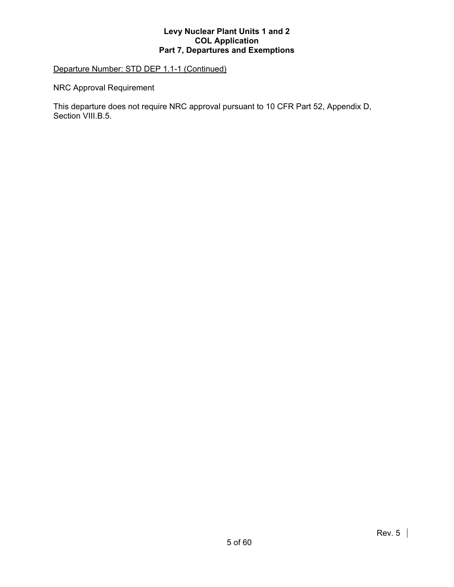# Departure Number: STD DEP 1.1-1 (Continued)

NRC Approval Requirement

This departure does not require NRC approval pursuant to 10 CFR Part 52, Appendix D, Section VIII.B.5.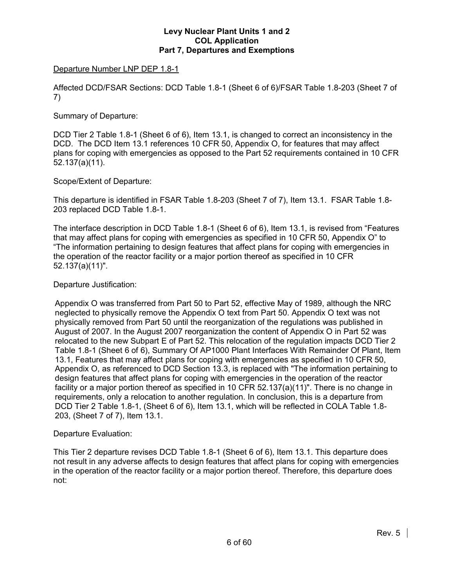# Departure Number LNP DEP 1.8-1

Affected DCD/FSAR Sections: DCD Table 1.8-1 (Sheet 6 of 6)/FSAR Table 1.8-203 (Sheet 7 of 7)

# Summary of Departure:

DCD Tier 2 Table 1.8-1 (Sheet 6 of 6), Item 13.1, is changed to correct an inconsistency in the DCD. The DCD Item 13.1 references 10 CFR 50, Appendix O, for features that may affect plans for coping with emergencies as opposed to the Part 52 requirements contained in 10 CFR 52.137(a)(11).

# Scope/Extent of Departure:

This departure is identified in FSAR Table 1.8-203 (Sheet 7 of 7), Item 13.1. FSAR Table 1.8- 203 replaced DCD Table 1.8-1.

The interface description in DCD Table 1.8-1 (Sheet 6 of 6), Item 13.1, is revised from "Features that may affect plans for coping with emergencies as specified in 10 CFR 50, Appendix O" to "The information pertaining to design features that affect plans for coping with emergencies in the operation of the reactor facility or a major portion thereof as specified in 10 CFR 52.137(a)(11)".

# Departure Justification:

Appendix O was transferred from Part 50 to Part 52, effective May of 1989, although the NRC neglected to physically remove the Appendix O text from Part 50. Appendix O text was not physically removed from Part 50 until the reorganization of the regulations was published in August of 2007. In the August 2007 reorganization the content of Appendix O in Part 52 was relocated to the new Subpart E of Part 52. This relocation of the regulation impacts DCD Tier 2 Table 1.8-1 (Sheet 6 of 6), Summary Of AP1000 Plant Interfaces With Remainder Of Plant, Item 13.1, Features that may affect plans for coping with emergencies as specified in 10 CFR 50, Appendix O, as referenced to DCD Section 13.3, is replaced with "The information pertaining to design features that affect plans for coping with emergencies in the operation of the reactor facility or a major portion thereof as specified in 10 CFR 52.137(a)(11)". There is no change in requirements, only a relocation to another regulation. In conclusion, this is a departure from DCD Tier 2 Table 1.8-1, (Sheet 6 of 6), Item 13.1, which will be reflected in COLA Table 1.8- 203, (Sheet 7 of 7), Item 13.1.

#### Departure Evaluation:

This Tier 2 departure revises DCD Table 1.8-1 (Sheet 6 of 6), Item 13.1. This departure does not result in any adverse affects to design features that affect plans for coping with emergencies in the operation of the reactor facility or a major portion thereof. Therefore, this departure does not: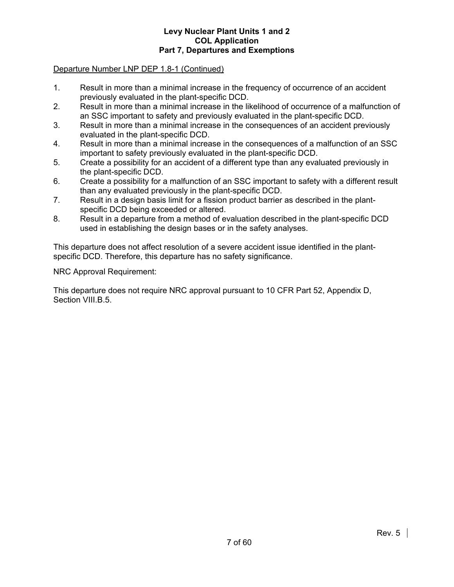# Departure Number LNP DEP 1.8-1 (Continued)

- 1. Result in more than a minimal increase in the frequency of occurrence of an accident previously evaluated in the plant-specific DCD.
- 2. Result in more than a minimal increase in the likelihood of occurrence of a malfunction of an SSC important to safety and previously evaluated in the plant-specific DCD.
- 3. Result in more than a minimal increase in the consequences of an accident previously evaluated in the plant-specific DCD.
- 4. Result in more than a minimal increase in the consequences of a malfunction of an SSC important to safety previously evaluated in the plant-specific DCD.
- 5. Create a possibility for an accident of a different type than any evaluated previously in the plant-specific DCD.
- 6. Create a possibility for a malfunction of an SSC important to safety with a different result than any evaluated previously in the plant-specific DCD.
- 7. Result in a design basis limit for a fission product barrier as described in the plantspecific DCD being exceeded or altered.
- 8. Result in a departure from a method of evaluation described in the plant-specific DCD used in establishing the design bases or in the safety analyses.

This departure does not affect resolution of a severe accident issue identified in the plantspecific DCD. Therefore, this departure has no safety significance.

NRC Approval Requirement:

This departure does not require NRC approval pursuant to 10 CFR Part 52, Appendix D, Section VIII.B.5.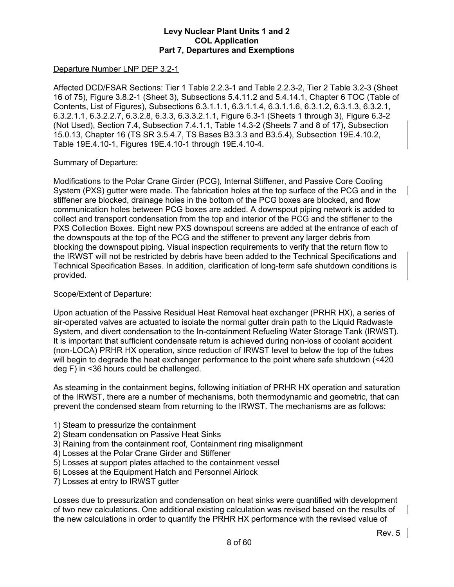## Departure Number LNP DEP 3.2-1

Affected DCD/FSAR Sections: Tier 1 Table 2.2.3-1 and Table 2.2.3-2, Tier 2 Table 3.2-3 (Sheet 16 of 75), Figure 3.8.2-1 (Sheet 3), Subsections 5.4.11.2 and 5.4.14.1, Chapter 6 TOC (Table of Contents, List of Figures), Subsections 6.3.1.1.1, 6.3.1.1.4, 6.3.1.1.6, 6.3.1.2, 6.3.1.3, 6.3.2.1, 6.3.2.1.1, 6.3.2.2.7, 6.3.2.8, 6.3.3, 6.3.3.2.1.1, Figure 6.3-1 (Sheets 1 through 3), Figure 6.3-2 (Not Used), Section 7.4, Subsection 7.4.1.1, Table 14.3-2 (Sheets 7 and 8 of 17), Subsection 15.0.13, Chapter 16 (TS SR 3.5.4.7, TS Bases B3.3.3 and B3.5.4), Subsection 19E.4.10.2, Table 19E.4.10-1, Figures 19E.4.10-1 through 19E.4.10-4.

# Summary of Departure:

Modifications to the Polar Crane Girder (PCG), Internal Stiffener, and Passive Core Cooling System (PXS) gutter were made. The fabrication holes at the top surface of the PCG and in the stiffener are blocked, drainage holes in the bottom of the PCG boxes are blocked, and flow communication holes between PCG boxes are added. A downspout piping network is added to collect and transport condensation from the top and interior of the PCG and the stiffener to the PXS Collection Boxes. Eight new PXS downspout screens are added at the entrance of each of the downspouts at the top of the PCG and the stiffener to prevent any larger debris from blocking the downspout piping. Visual inspection requirements to verify that the return flow to the IRWST will not be restricted by debris have been added to the Technical Specifications and Technical Specification Bases. In addition, clarification of long-term safe shutdown conditions is provided.

## Scope/Extent of Departure:

Upon actuation of the Passive Residual Heat Removal heat exchanger (PRHR HX), a series of air-operated valves are actuated to isolate the normal gutter drain path to the Liquid Radwaste System, and divert condensation to the In-containment Refueling Water Storage Tank (IRWST). It is important that sufficient condensate return is achieved during non-loss of coolant accident (non-LOCA) PRHR HX operation, since reduction of IRWST level to below the top of the tubes will begin to degrade the heat exchanger performance to the point where safe shutdown (<420 deg F) in <36 hours could be challenged.

As steaming in the containment begins, following initiation of PRHR HX operation and saturation of the IRWST, there are a number of mechanisms, both thermodynamic and geometric, that can prevent the condensed steam from returning to the IRWST. The mechanisms are as follows:

- 1) Steam to pressurize the containment
- 2) Steam condensation on Passive Heat Sinks
- 3) Raining from the containment roof, Containment ring misalignment
- 4) Losses at the Polar Crane Girder and Stiffener
- 5) Losses at support plates attached to the containment vessel
- 6) Losses at the Equipment Hatch and Personnel Airlock
- 7) Losses at entry to IRWST gutter

Losses due to pressurization and condensation on heat sinks were quantified with development of two new calculations. One additional existing calculation was revised based on the results of the new calculations in order to quantify the PRHR HX performance with the revised value of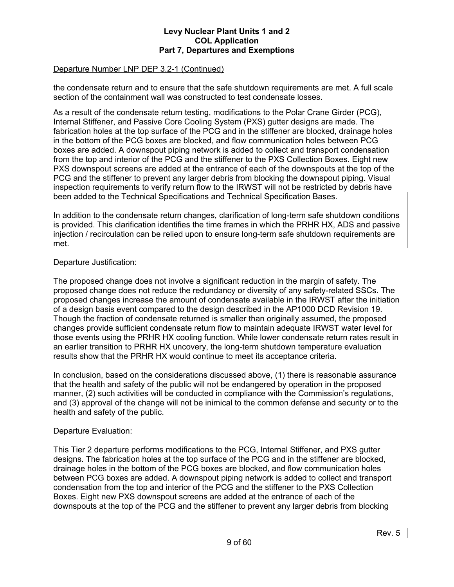# Departure Number LNP DEP 3.2-1 (Continued)

the condensate return and to ensure that the safe shutdown requirements are met. A full scale section of the containment wall was constructed to test condensate losses.

As a result of the condensate return testing, modifications to the Polar Crane Girder (PCG), Internal Stiffener, and Passive Core Cooling System (PXS) gutter designs are made. The fabrication holes at the top surface of the PCG and in the stiffener are blocked, drainage holes in the bottom of the PCG boxes are blocked, and flow communication holes between PCG boxes are added. A downspout piping network is added to collect and transport condensation from the top and interior of the PCG and the stiffener to the PXS Collection Boxes. Eight new PXS downspout screens are added at the entrance of each of the downspouts at the top of the PCG and the stiffener to prevent any larger debris from blocking the downspout piping. Visual inspection requirements to verify return flow to the IRWST will not be restricted by debris have been added to the Technical Specifications and Technical Specification Bases.

In addition to the condensate return changes, clarification of long-term safe shutdown conditions is provided. This clarification identifies the time frames in which the PRHR HX, ADS and passive injection / recirculation can be relied upon to ensure long-term safe shutdown requirements are met.

# Departure Justification:

The proposed change does not involve a significant reduction in the margin of safety. The proposed change does not reduce the redundancy or diversity of any safety-related SSCs. The proposed changes increase the amount of condensate available in the IRWST after the initiation of a design basis event compared to the design described in the AP1000 DCD Revision 19. Though the fraction of condensate returned is smaller than originally assumed, the proposed changes provide sufficient condensate return flow to maintain adequate IRWST water level for those events using the PRHR HX cooling function. While lower condensate return rates result in an earlier transition to PRHR HX uncovery, the long-term shutdown temperature evaluation results show that the PRHR HX would continue to meet its acceptance criteria.

In conclusion, based on the considerations discussed above, (1) there is reasonable assurance that the health and safety of the public will not be endangered by operation in the proposed manner, (2) such activities will be conducted in compliance with the Commission's regulations, and (3) approval of the change will not be inimical to the common defense and security or to the health and safety of the public.

#### Departure Evaluation:

This Tier 2 departure performs modifications to the PCG, Internal Stiffener, and PXS gutter designs. The fabrication holes at the top surface of the PCG and in the stiffener are blocked, drainage holes in the bottom of the PCG boxes are blocked, and flow communication holes between PCG boxes are added. A downspout piping network is added to collect and transport condensation from the top and interior of the PCG and the stiffener to the PXS Collection Boxes. Eight new PXS downspout screens are added at the entrance of each of the downspouts at the top of the PCG and the stiffener to prevent any larger debris from blocking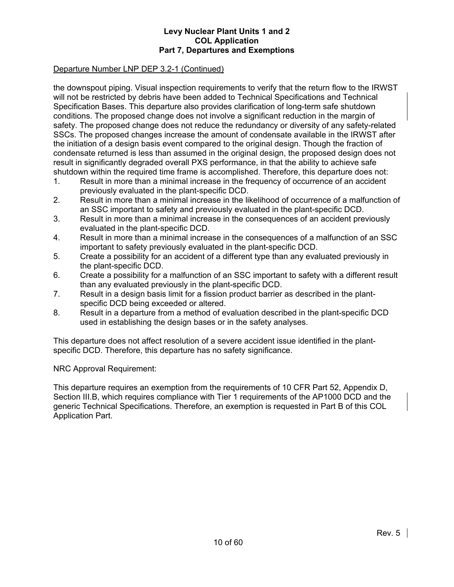# Departure Number LNP DEP 3.2-1 (Continued)

the downspout piping. Visual inspection requirements to verify that the return flow to the IRWST will not be restricted by debris have been added to Technical Specifications and Technical Specification Bases. This departure also provides clarification of long-term safe shutdown conditions. The proposed change does not involve a significant reduction in the margin of safety. The proposed change does not reduce the redundancy or diversity of any safety-related SSCs. The proposed changes increase the amount of condensate available in the IRWST after the initiation of a design basis event compared to the original design. Though the fraction of condensate returned is less than assumed in the original design, the proposed design does not result in significantly degraded overall PXS performance, in that the ability to achieve safe shutdown within the required time frame is accomplished. Therefore, this departure does not:

- 1. Result in more than a minimal increase in the frequency of occurrence of an accident previously evaluated in the plant-specific DCD.
- 2. Result in more than a minimal increase in the likelihood of occurrence of a malfunction of an SSC important to safety and previously evaluated in the plant-specific DCD.
- 3. Result in more than a minimal increase in the consequences of an accident previously evaluated in the plant-specific DCD.
- 4. Result in more than a minimal increase in the consequences of a malfunction of an SSC important to safety previously evaluated in the plant-specific DCD.
- 5. Create a possibility for an accident of a different type than any evaluated previously in the plant-specific DCD.
- 6. Create a possibility for a malfunction of an SSC important to safety with a different result than any evaluated previously in the plant-specific DCD.
- 7. Result in a design basis limit for a fission product barrier as described in the plantspecific DCD being exceeded or altered.
- 8. Result in a departure from a method of evaluation described in the plant-specific DCD used in establishing the design bases or in the safety analyses.

This departure does not affect resolution of a severe accident issue identified in the plantspecific DCD. Therefore, this departure has no safety significance.

NRC Approval Requirement:

This departure requires an exemption from the requirements of 10 CFR Part 52, Appendix D, Section III.B, which requires compliance with Tier 1 requirements of the AP1000 DCD and the generic Technical Specifications. Therefore, an exemption is requested in Part B of this COL Application Part.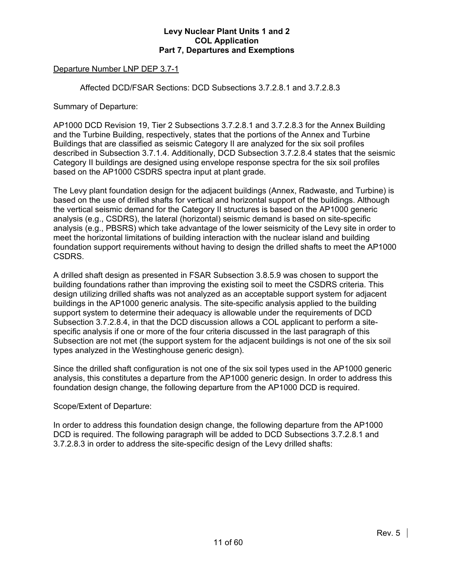# Departure Number LNP DEP 3.7-1

Affected DCD/FSAR Sections: DCD Subsections 3.7.2.8.1 and 3.7.2.8.3

Summary of Departure:

AP1000 DCD Revision 19, Tier 2 Subsections 3.7.2.8.1 and 3.7.2.8.3 for the Annex Building and the Turbine Building, respectively, states that the portions of the Annex and Turbine Buildings that are classified as seismic Category II are analyzed for the six soil profiles described in Subsection 3.7.1.4. Additionally, DCD Subsection 3.7.2.8.4 states that the seismic Category II buildings are designed using envelope response spectra for the six soil profiles based on the AP1000 CSDRS spectra input at plant grade.

The Levy plant foundation design for the adjacent buildings (Annex, Radwaste, and Turbine) is based on the use of drilled shafts for vertical and horizontal support of the buildings. Although the vertical seismic demand for the Category II structures is based on the AP1000 generic analysis (e.g., CSDRS), the lateral (horizontal) seismic demand is based on site-specific analysis (e.g., PBSRS) which take advantage of the lower seismicity of the Levy site in order to meet the horizontal limitations of building interaction with the nuclear island and building foundation support requirements without having to design the drilled shafts to meet the AP1000 CSDRS.

A drilled shaft design as presented in FSAR Subsection 3.8.5.9 was chosen to support the building foundations rather than improving the existing soil to meet the CSDRS criteria. This design utilizing drilled shafts was not analyzed as an acceptable support system for adjacent buildings in the AP1000 generic analysis. The site-specific analysis applied to the building support system to determine their adequacy is allowable under the requirements of DCD Subsection 3.7.2.8.4, in that the DCD discussion allows a COL applicant to perform a sitespecific analysis if one or more of the four criteria discussed in the last paragraph of this Subsection are not met (the support system for the adjacent buildings is not one of the six soil types analyzed in the Westinghouse generic design).

Since the drilled shaft configuration is not one of the six soil types used in the AP1000 generic analysis, this constitutes a departure from the AP1000 generic design. In order to address this foundation design change, the following departure from the AP1000 DCD is required.

# Scope/Extent of Departure:

In order to address this foundation design change, the following departure from the AP1000 DCD is required. The following paragraph will be added to DCD Subsections 3.7.2.8.1 and 3.7.2.8.3 in order to address the site-specific design of the Levy drilled shafts: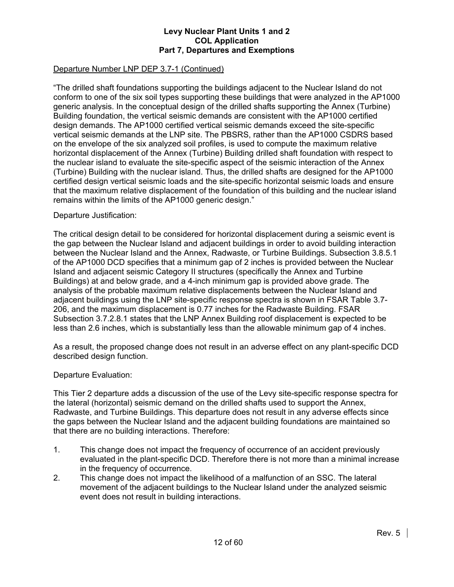# Departure Number LNP DEP 3.7-1 (Continued)

"The drilled shaft foundations supporting the buildings adjacent to the Nuclear Island do not conform to one of the six soil types supporting these buildings that were analyzed in the AP1000 generic analysis. In the conceptual design of the drilled shafts supporting the Annex (Turbine) Building foundation, the vertical seismic demands are consistent with the AP1000 certified design demands. The AP1000 certified vertical seismic demands exceed the site-specific vertical seismic demands at the LNP site. The PBSRS, rather than the AP1000 CSDRS based on the envelope of the six analyzed soil profiles, is used to compute the maximum relative horizontal displacement of the Annex (Turbine) Building drilled shaft foundation with respect to the nuclear island to evaluate the site-specific aspect of the seismic interaction of the Annex (Turbine) Building with the nuclear island. Thus, the drilled shafts are designed for the AP1000 certified design vertical seismic loads and the site-specific horizontal seismic loads and ensure that the maximum relative displacement of the foundation of this building and the nuclear island remains within the limits of the AP1000 generic design."

#### Departure Justification:

The critical design detail to be considered for horizontal displacement during a seismic event is the gap between the Nuclear Island and adjacent buildings in order to avoid building interaction between the Nuclear Island and the Annex, Radwaste, or Turbine Buildings. Subsection 3.8.5.1 of the AP1000 DCD specifies that a minimum gap of 2 inches is provided between the Nuclear Island and adjacent seismic Category II structures (specifically the Annex and Turbine Buildings) at and below grade, and a 4-inch minimum gap is provided above grade. The analysis of the probable maximum relative displacements between the Nuclear Island and adjacent buildings using the LNP site-specific response spectra is shown in FSAR Table 3.7- 206, and the maximum displacement is 0.77 inches for the Radwaste Building. FSAR Subsection 3.7.2.8.1 states that the LNP Annex Building roof displacement is expected to be less than 2.6 inches, which is substantially less than the allowable minimum gap of 4 inches.

As a result, the proposed change does not result in an adverse effect on any plant-specific DCD described design function.

#### Departure Evaluation:

This Tier 2 departure adds a discussion of the use of the Levy site-specific response spectra for the lateral (horizontal) seismic demand on the drilled shafts used to support the Annex, Radwaste, and Turbine Buildings. This departure does not result in any adverse effects since the gaps between the Nuclear Island and the adjacent building foundations are maintained so that there are no building interactions. Therefore:

- 1. This change does not impact the frequency of occurrence of an accident previously evaluated in the plant-specific DCD. Therefore there is not more than a minimal increase in the frequency of occurrence.
- 2. This change does not impact the likelihood of a malfunction of an SSC. The lateral movement of the adjacent buildings to the Nuclear Island under the analyzed seismic event does not result in building interactions.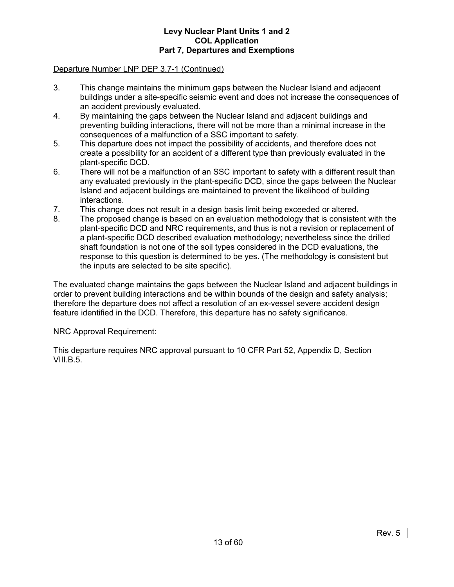# Departure Number LNP DEP 3.7-1 (Continued)

- 3. This change maintains the minimum gaps between the Nuclear Island and adjacent buildings under a site-specific seismic event and does not increase the consequences of an accident previously evaluated.
- 4. By maintaining the gaps between the Nuclear Island and adjacent buildings and preventing building interactions, there will not be more than a minimal increase in the consequences of a malfunction of a SSC important to safety.
- 5. This departure does not impact the possibility of accidents, and therefore does not create a possibility for an accident of a different type than previously evaluated in the plant-specific DCD.
- 6. There will not be a malfunction of an SSC important to safety with a different result than any evaluated previously in the plant-specific DCD, since the gaps between the Nuclear Island and adjacent buildings are maintained to prevent the likelihood of building interactions.
- 7. This change does not result in a design basis limit being exceeded or altered.
- 8. The proposed change is based on an evaluation methodology that is consistent with the plant-specific DCD and NRC requirements, and thus is not a revision or replacement of a plant-specific DCD described evaluation methodology; nevertheless since the drilled shaft foundation is not one of the soil types considered in the DCD evaluations, the response to this question is determined to be yes. (The methodology is consistent but the inputs are selected to be site specific).

The evaluated change maintains the gaps between the Nuclear Island and adjacent buildings in order to prevent building interactions and be within bounds of the design and safety analysis; therefore the departure does not affect a resolution of an ex-vessel severe accident design feature identified in the DCD. Therefore, this departure has no safety significance.

#### NRC Approval Requirement:

This departure requires NRC approval pursuant to 10 CFR Part 52, Appendix D, Section VIII.B.5.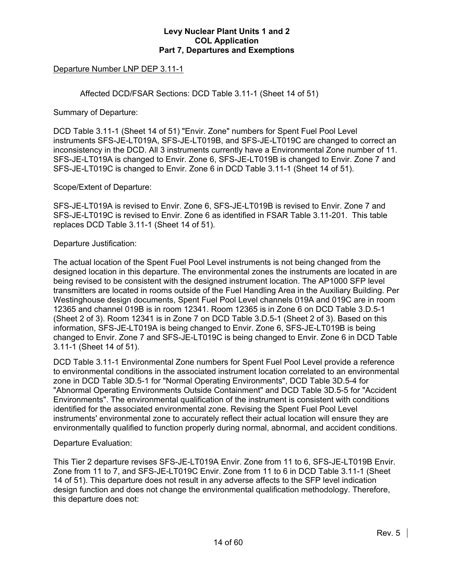# Departure Number LNP DEP 3.11-1

Affected DCD/FSAR Sections: DCD Table 3.11-1 (Sheet 14 of 51)

Summary of Departure:

DCD Table 3.11-1 (Sheet 14 of 51) "Envir. Zone" numbers for Spent Fuel Pool Level instruments SFS-JE-LT019A, SFS-JE-LT019B, and SFS-JE-LT019C are changed to correct an inconsistency in the DCD. All 3 instruments currently have a Environmental Zone number of 11. SFS-JE-LT019A is changed to Envir. Zone 6, SFS-JE-LT019B is changed to Envir. Zone 7 and SFS-JE-LT019C is changed to Envir. Zone 6 in DCD Table 3.11-1 (Sheet 14 of 51).

Scope/Extent of Departure:

SFS-JE-LT019A is revised to Envir. Zone 6, SFS-JE-LT019B is revised to Envir. Zone 7 and SFS-JE-LT019C is revised to Envir. Zone 6 as identified in FSAR Table 3.11-201. This table replaces DCD Table 3.11-1 (Sheet 14 of 51).

Departure Justification:

The actual location of the Spent Fuel Pool Level instruments is not being changed from the designed location in this departure. The environmental zones the instruments are located in are being revised to be consistent with the designed instrument location. The AP1000 SFP level transmitters are located in rooms outside of the Fuel Handling Area in the Auxiliary Building. Per Westinghouse design documents, Spent Fuel Pool Level channels 019A and 019C are in room 12365 and channel 019B is in room 12341. Room 12365 is in Zone 6 on DCD Table 3.D.5-1 (Sheet 2 of 3). Room 12341 is in Zone 7 on DCD Table 3.D.5-1 (Sheet 2 of 3). Based on this information, SFS-JE-LT019A is being changed to Envir. Zone 6, SFS-JE-LT019B is being changed to Envir. Zone 7 and SFS-JE-LT019C is being changed to Envir. Zone 6 in DCD Table 3.11-1 (Sheet 14 of 51).

DCD Table 3.11-1 Environmental Zone numbers for Spent Fuel Pool Level provide a reference to environmental conditions in the associated instrument location correlated to an environmental zone in DCD Table 3D.5-1 for "Normal Operating Environments", DCD Table 3D.5-4 for "Abnormal Operating Environments Outside Containment" and DCD Table 3D.5-5 for "Accident Environments". The environmental qualification of the instrument is consistent with conditions identified for the associated environmental zone. Revising the Spent Fuel Pool Level instruments' environmental zone to accurately reflect their actual location will ensure they are environmentally qualified to function properly during normal, abnormal, and accident conditions.

Departure Evaluation:

This Tier 2 departure revises SFS-JE-LT019A Envir. Zone from 11 to 6, SFS-JE-LT019B Envir. Zone from 11 to 7, and SFS-JE-LT019C Envir. Zone from 11 to 6 in DCD Table 3.11-1 (Sheet 14 of 51). This departure does not result in any adverse affects to the SFP level indication design function and does not change the environmental qualification methodology. Therefore, this departure does not: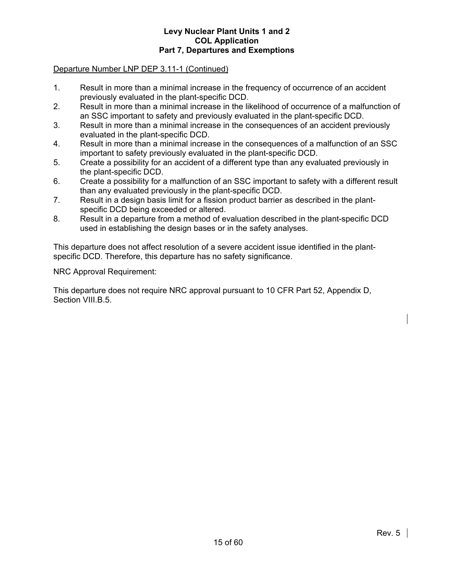# Departure Number LNP DEP 3.11-1 (Continued)

- 1. Result in more than a minimal increase in the frequency of occurrence of an accident previously evaluated in the plant-specific DCD.
- 2. Result in more than a minimal increase in the likelihood of occurrence of a malfunction of an SSC important to safety and previously evaluated in the plant-specific DCD.
- 3. Result in more than a minimal increase in the consequences of an accident previously evaluated in the plant-specific DCD.
- 4. Result in more than a minimal increase in the consequences of a malfunction of an SSC important to safety previously evaluated in the plant-specific DCD.
- 5. Create a possibility for an accident of a different type than any evaluated previously in the plant-specific DCD.
- 6. Create a possibility for a malfunction of an SSC important to safety with a different result than any evaluated previously in the plant-specific DCD.
- 7. Result in a design basis limit for a fission product barrier as described in the plantspecific DCD being exceeded or altered.
- 8. Result in a departure from a method of evaluation described in the plant-specific DCD used in establishing the design bases or in the safety analyses.

This departure does not affect resolution of a severe accident issue identified in the plantspecific DCD. Therefore, this departure has no safety significance.

NRC Approval Requirement:

This departure does not require NRC approval pursuant to 10 CFR Part 52, Appendix D, Section VIII.B.5.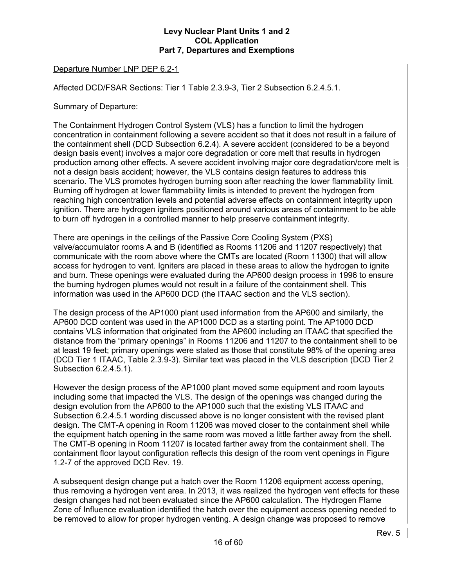# Departure Number LNP DEP 6.2-1

Affected DCD/FSAR Sections: Tier 1 Table 2.3.9-3, Tier 2 Subsection 6.2.4.5.1.

Summary of Departure:

The Containment Hydrogen Control System (VLS) has a function to limit the hydrogen concentration in containment following a severe accident so that it does not result in a failure of the containment shell (DCD Subsection 6.2.4). A severe accident (considered to be a beyond design basis event) involves a major core degradation or core melt that results in hydrogen production among other effects. A severe accident involving major core degradation/core melt is not a design basis accident; however, the VLS contains design features to address this scenario. The VLS promotes hydrogen burning soon after reaching the lower flammability limit. Burning off hydrogen at lower flammability limits is intended to prevent the hydrogen from reaching high concentration levels and potential adverse effects on containment integrity upon ignition. There are hydrogen igniters positioned around various areas of containment to be able to burn off hydrogen in a controlled manner to help preserve containment integrity.

There are openings in the ceilings of the Passive Core Cooling System (PXS) valve/accumulator rooms A and B (identified as Rooms 11206 and 11207 respectively) that communicate with the room above where the CMTs are located (Room 11300) that will allow access for hydrogen to vent. Igniters are placed in these areas to allow the hydrogen to ignite and burn. These openings were evaluated during the AP600 design process in 1996 to ensure the burning hydrogen plumes would not result in a failure of the containment shell. This information was used in the AP600 DCD (the ITAAC section and the VLS section).

The design process of the AP1000 plant used information from the AP600 and similarly, the AP600 DCD content was used in the AP1000 DCD as a starting point. The AP1000 DCD contains VLS information that originated from the AP600 including an ITAAC that specified the distance from the "primary openings" in Rooms 11206 and 11207 to the containment shell to be at least 19 feet; primary openings were stated as those that constitute 98% of the opening area (DCD Tier 1 ITAAC, Table 2.3.9-3). Similar text was placed in the VLS description (DCD Tier 2 Subsection 6.2.4.5.1).

However the design process of the AP1000 plant moved some equipment and room layouts including some that impacted the VLS. The design of the openings was changed during the design evolution from the AP600 to the AP1000 such that the existing VLS ITAAC and Subsection 6.2.4.5.1 wording discussed above is no longer consistent with the revised plant design. The CMT-A opening in Room 11206 was moved closer to the containment shell while the equipment hatch opening in the same room was moved a little farther away from the shell. The CMT-B opening in Room 11207 is located farther away from the containment shell. The containment floor layout configuration reflects this design of the room vent openings in Figure 1.2-7 of the approved DCD Rev. 19.

A subsequent design change put a hatch over the Room 11206 equipment access opening, thus removing a hydrogen vent area. In 2013, it was realized the hydrogen vent effects for these design changes had not been evaluated since the AP600 calculation. The Hydrogen Flame Zone of Influence evaluation identified the hatch over the equipment access opening needed to be removed to allow for proper hydrogen venting. A design change was proposed to remove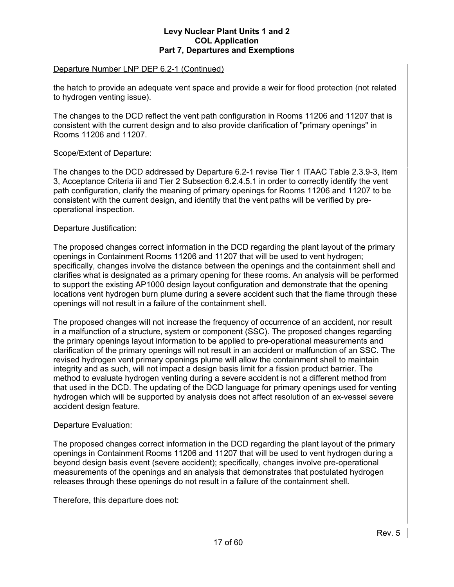# Departure Number LNP DEP 6.2-1 (Continued)

the hatch to provide an adequate vent space and provide a weir for flood protection (not related to hydrogen venting issue).

The changes to the DCD reflect the vent path configuration in Rooms 11206 and 11207 that is consistent with the current design and to also provide clarification of "primary openings" in Rooms 11206 and 11207.

# Scope/Extent of Departure:

The changes to the DCD addressed by Departure 6.2-1 revise Tier 1 ITAAC Table 2.3.9-3, Item 3, Acceptance Criteria iii and Tier 2 Subsection 6.2.4.5.1 in order to correctly identify the vent path configuration, clarify the meaning of primary openings for Rooms 11206 and 11207 to be consistent with the current design, and identify that the vent paths will be verified by preoperational inspection.

#### Departure Justification:

The proposed changes correct information in the DCD regarding the plant layout of the primary openings in Containment Rooms 11206 and 11207 that will be used to vent hydrogen; specifically, changes involve the distance between the openings and the containment shell and clarifies what is designated as a primary opening for these rooms. An analysis will be performed to support the existing AP1000 design layout configuration and demonstrate that the opening locations vent hydrogen burn plume during a severe accident such that the flame through these openings will not result in a failure of the containment shell.

The proposed changes will not increase the frequency of occurrence of an accident, nor result in a malfunction of a structure, system or component (SSC). The proposed changes regarding the primary openings layout information to be applied to pre-operational measurements and clarification of the primary openings will not result in an accident or malfunction of an SSC. The revised hydrogen vent primary openings plume will allow the containment shell to maintain integrity and as such, will not impact a design basis limit for a fission product barrier. The method to evaluate hydrogen venting during a severe accident is not a different method from that used in the DCD. The updating of the DCD language for primary openings used for venting hydrogen which will be supported by analysis does not affect resolution of an ex-vessel severe accident design feature.

#### Departure Evaluation:

The proposed changes correct information in the DCD regarding the plant layout of the primary openings in Containment Rooms 11206 and 11207 that will be used to vent hydrogen during a beyond design basis event (severe accident); specifically, changes involve pre-operational measurements of the openings and an analysis that demonstrates that postulated hydrogen releases through these openings do not result in a failure of the containment shell.

Therefore, this departure does not: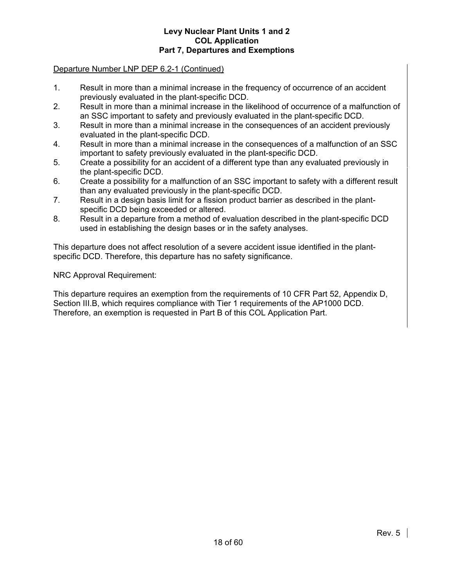# Departure Number LNP DEP 6.2-1 (Continued)

- 1. Result in more than a minimal increase in the frequency of occurrence of an accident previously evaluated in the plant-specific DCD.
- 2. Result in more than a minimal increase in the likelihood of occurrence of a malfunction of an SSC important to safety and previously evaluated in the plant-specific DCD.
- 3. Result in more than a minimal increase in the consequences of an accident previously evaluated in the plant-specific DCD.
- 4. Result in more than a minimal increase in the consequences of a malfunction of an SSC important to safety previously evaluated in the plant-specific DCD.
- 5. Create a possibility for an accident of a different type than any evaluated previously in the plant-specific DCD.
- 6. Create a possibility for a malfunction of an SSC important to safety with a different result than any evaluated previously in the plant-specific DCD.
- 7. Result in a design basis limit for a fission product barrier as described in the plantspecific DCD being exceeded or altered.
- 8. Result in a departure from a method of evaluation described in the plant-specific DCD used in establishing the design bases or in the safety analyses.

This departure does not affect resolution of a severe accident issue identified in the plantspecific DCD. Therefore, this departure has no safety significance.

# NRC Approval Requirement:

This departure requires an exemption from the requirements of 10 CFR Part 52, Appendix D, Section III.B, which requires compliance with Tier 1 requirements of the AP1000 DCD. Therefore, an exemption is requested in Part B of this COL Application Part.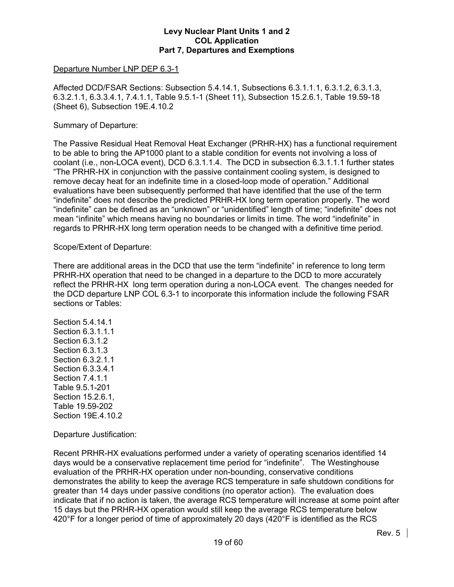#### Departure Number LNP DEP 6.3-1

Affected DCD/FSAR Sections: Subsection 5.4.14.1, Subsections 6.3.1.1.1, 6.3.1.2, 6.3.1.3, 6.3.2.1.1, 6.3.3.4.1, 7.4.1.1, Table 9.5.1-1 (Sheet 11), Subsection 15.2.6.1, Table 19.59-18 (Sheet 6), Subsection 19E.4.10.2

# Summary of Departure:

The Passive Residual Heat Removal Heat Exchanger (PRHR-HX) has a functional requirement to be able to bring the AP1000 plant to a stable condition for events not involving a loss of coolant (i.e., non-LOCA event), DCD 6.3.1.1.4. The DCD in subsection 6.3.1.1.1 further states "The PRHR-HX in conjunction with the passive containment cooling system, is designed to remove decay heat for an indefinite time in a closed-loop mode of operation." Additional evaluations have been subsequently performed that have identified that the use of the term "indefinite" does not describe the predicted PRHR-HX long term operation properly. The word "indefinite" can be defined as an "unknown" or "unidentified" length of time; "indefinite" does not mean "infinite" which means having no boundaries or limits in time. The word "indefinite" in regards to PRHR-HX long term operation needs to be changed with a definitive time period.

# Scope/Extent of Departure:

There are additional areas in the DCD that use the term "indefinite" in reference to long term PRHR-HX operation that need to be changed in a departure to the DCD to more accurately reflect the PRHR-HX long term operation during a non-LOCA event. The changes needed for the DCD departure LNP COL 6.3-1 to incorporate this information include the following FSAR sections or Tables:

Section 5.4.14.1 Section 6.3.1.1.1 Section 6.3.1.2 Section 6.3.1.3 Section 6.3.2.1.1 Section 6.3.3.4.1 Section 7.4.1.1 Table 9.5.1-201 Section 15.2.6.1, Table 19.59-202 Section 19E.4.10.2

Departure Justification:

Recent PRHR-HX evaluations performed under a variety of operating scenarios identified 14 days would be a conservative replacement time period for "indefinite". The Westinghouse evaluation of the PRHR-HX operation under non-bounding, conservative conditions demonstrates the ability to keep the average RCS temperature in safe shutdown conditions for greater than 14 days under passive conditions (no operator action). The evaluation does indicate that if no action is taken, the average RCS temperature will increase at some point after 15 days but the PRHR-HX operation would still keep the average RCS temperature below 420°F for a longer period of time of approximately 20 days (420°F is identified as the RCS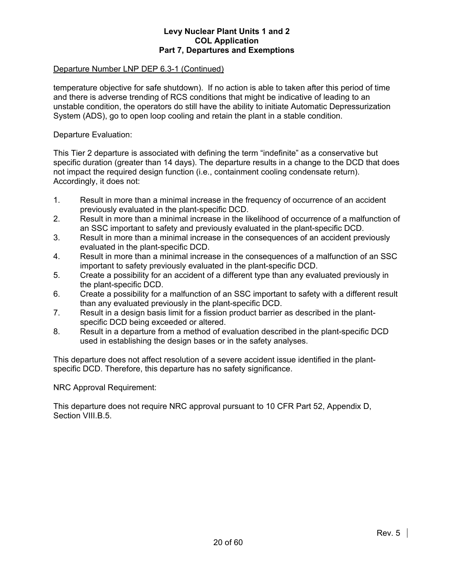# Departure Number LNP DEP 6.3-1 (Continued)

temperature objective for safe shutdown). If no action is able to taken after this period of time and there is adverse trending of RCS conditions that might be indicative of leading to an unstable condition, the operators do still have the ability to initiate Automatic Depressurization System (ADS), go to open loop cooling and retain the plant in a stable condition.

Departure Evaluation:

This Tier 2 departure is associated with defining the term "indefinite" as a conservative but specific duration (greater than 14 days). The departure results in a change to the DCD that does not impact the required design function (i.e., containment cooling condensate return). Accordingly, it does not:

- 1. Result in more than a minimal increase in the frequency of occurrence of an accident previously evaluated in the plant-specific DCD.
- 2. Result in more than a minimal increase in the likelihood of occurrence of a malfunction of an SSC important to safety and previously evaluated in the plant-specific DCD.
- 3. Result in more than a minimal increase in the consequences of an accident previously evaluated in the plant-specific DCD.
- 4. Result in more than a minimal increase in the consequences of a malfunction of an SSC important to safety previously evaluated in the plant-specific DCD.
- 5. Create a possibility for an accident of a different type than any evaluated previously in the plant-specific DCD.
- 6. Create a possibility for a malfunction of an SSC important to safety with a different result than any evaluated previously in the plant-specific DCD.
- 7. Result in a design basis limit for a fission product barrier as described in the plantspecific DCD being exceeded or altered.
- 8. Result in a departure from a method of evaluation described in the plant-specific DCD used in establishing the design bases or in the safety analyses.

This departure does not affect resolution of a severe accident issue identified in the plantspecific DCD. Therefore, this departure has no safety significance.

NRC Approval Requirement:

This departure does not require NRC approval pursuant to 10 CFR Part 52, Appendix D, Section VIII.B.5.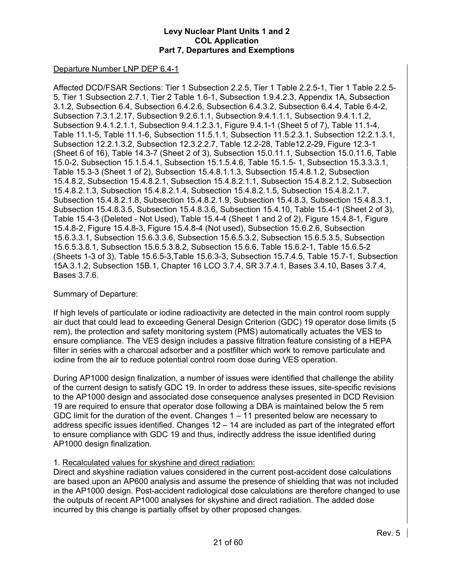# Departure Number LNP DEP 6.4-1

Affected DCD/FSAR Sections: Tier 1 Subsection 2.2.5, Tier 1 Table 2.2.5-1, Tier 1 Table 2.2.5- 5, Tier 1 Subsection 2.7.1, Tier 2 Table 1.6-1, Subsection 1.9.4.2.3, Appendix 1A, Subsection 3.1.2, Subsection 6.4, Subsection 6.4.2.6, Subsection 6.4.3.2, Subsection 6.4.4, Table 6.4-2, Subsection 7.3.1.2.17, Subsection 9.2.6.1.1, Subsection 9.4.1.1.1, Subsection 9.4.1.1.2, Subsection 9.4.1.2.1.1, Subsection 9.4.1.2.3.1, Figure 9.4.1-1 (Sheet 5 of 7), Table 11.1-4, Table 11.1-5, Table 11.1-6, Subsection 11.5.1.1, Subsection 11.5.2.3.1, Subsection 12.2.1.3.1, Subsection 12.2.1.3.2, Subsection 12.3.2.2.7, Table 12.2-28, Table12.2-29, Figure 12.3-1 (Sheet 6 of 16), Table 14.3-7 (Sheet 2 of 3), Subsection 15.0.11.1, Subsection 15.0.11.6, Table 15.0-2, Subsection 15.1.5.4.1, Subsection 15.1.5.4.6, Table 15.1.5- 1, Subsection 15.3.3.3.1, Table 15.3-3 (Sheet 1 of 2), Subsection 15.4.8.1.1.3, Subsection 15.4.8.1.2, Subsection 15.4.8.2, Subsection 15.4.8.2.1, Subsection 15.4.8.2.1.1, Subsection 15.4.8.2.1.2, Subsection 15.4.8.2.1.3, Subsection 15.4.8.2.1.4, Subsection 15.4.8.2.1.5, Subsection 15.4.8.2.1.7, Subsection 15.4.8.2.1.8, Subsection 15.4.8.2.1.9, Subsection 15.4.8.3, Subsection 15.4.8.3.1, Subsection 15.4.8.3.5, Subsection 15.4.8.3.6, Subsection 15.4.10, Table 15.4-1 (Sheet 2 of 3), Table 15.4-3 (Deleted - Not Used), Table 15.4-4 (Sheet 1 and 2 of 2), Figure 15.4.8-1, Figure 15.4.8-2, Figure 15.4.8-3, Figure 15.4.8-4 (Not used), Subsection 15.6.2.6, Subsection 15.6.3.3.1, Subsection 15.6.3.3.6, Subsection 15.6.5.3.2, Subsection 15.6.5.3.5, Subsection 15.6.5.3.8.1, Subsection 15.6.5.3.8.2, Subsection 15.6.6, Table 15.6.2-1, Table 15.6.5-2 (Sheets 1-3 of 3), Table 15.6.5-3,Table 15.6.3-3, Subsection 15.7.4.5, Table 15.7-1, Subsection 15A.3.1.2, Subsection 15B.1, Chapter 16 LCO 3.7.4, SR 3.7.4.1, Bases 3.4.10, Bases 3.7.4, Bases 3.7.6.

# Summary of Departure:

If high levels of particulate or iodine radioactivity are detected in the main control room supply air duct that could lead to exceeding General Design Criterion (GDC) 19 operator dose limits (5 rem), the protection and safety monitoring system (PMS) automatically actuates the VES to ensure compliance. The VES design includes a passive filtration feature consisting of a HEPA filter in series with a charcoal adsorber and a postfilter which work to remove particulate and iodine from the air to reduce potential control room dose during VES operation.

During AP1000 design finalization, a number of issues were identified that challenge the ability of the current design to satisfy GDC 19. In order to address these issues, site-specific revisions to the AP1000 design and associated dose consequence analyses presented in DCD Revision 19 are required to ensure that operator dose following a DBA is maintained below the 5 rem GDC limit for the duration of the event. Changes 1 – 11 presented below are necessary to address specific issues identified. Changes  $12 - 14$  are included as part of the integrated effort to ensure compliance with GDC 19 and thus, indirectly address the issue identified during AP1000 design finalization.

# 1. Recalculated values for skyshine and direct radiation:

Direct and skyshine radiation values considered in the current post-accident dose calculations are based upon an AP600 analysis and assume the presence of shielding that was not included in the AP1000 design. Post-accident radiological dose calculations are therefore changed to use the outputs of recent AP1000 analyses for skyshine and direct radiation. The added dose incurred by this change is partially offset by other proposed changes.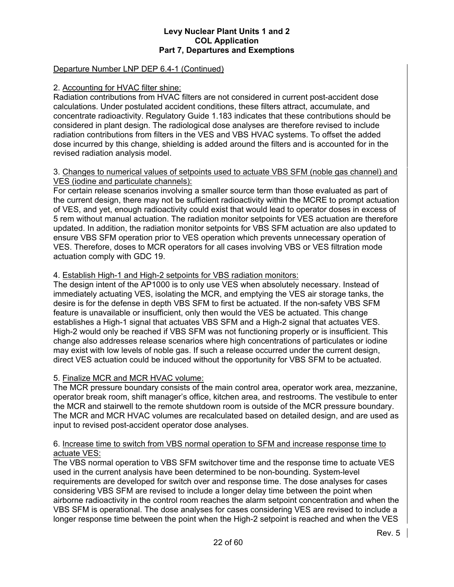# Departure Number LNP DEP 6.4-1 (Continued)

#### 2. Accounting for HVAC filter shine:

Radiation contributions from HVAC filters are not considered in current post-accident dose calculations. Under postulated accident conditions, these filters attract, accumulate, and concentrate radioactivity. Regulatory Guide 1.183 indicates that these contributions should be considered in plant design. The radiological dose analyses are therefore revised to include radiation contributions from filters in the VES and VBS HVAC systems. To offset the added dose incurred by this change, shielding is added around the filters and is accounted for in the revised radiation analysis model.

## 3. Changes to numerical values of setpoints used to actuate VBS SFM (noble gas channel) and VES (iodine and particulate channels):

For certain release scenarios involving a smaller source term than those evaluated as part of the current design, there may not be sufficient radioactivity within the MCRE to prompt actuation of VES, and yet, enough radioactivity could exist that would lead to operator doses in excess of 5 rem without manual actuation. The radiation monitor setpoints for VES actuation are therefore updated. In addition, the radiation monitor setpoints for VBS SFM actuation are also updated to ensure VBS SFM operation prior to VES operation which prevents unnecessary operation of VES. Therefore, doses to MCR operators for all cases involving VBS or VES filtration mode actuation comply with GDC 19.

# 4. Establish High-1 and High-2 setpoints for VBS radiation monitors:

The design intent of the AP1000 is to only use VES when absolutely necessary. Instead of immediately actuating VES, isolating the MCR, and emptying the VES air storage tanks, the desire is for the defense in depth VBS SFM to first be actuated. If the non-safety VBS SFM feature is unavailable or insufficient, only then would the VES be actuated. This change establishes a High-1 signal that actuates VBS SFM and a High-2 signal that actuates VES. High-2 would only be reached if VBS SFM was not functioning properly or is insufficient. This change also addresses release scenarios where high concentrations of particulates or iodine may exist with low levels of noble gas. If such a release occurred under the current design, direct VES actuation could be induced without the opportunity for VBS SFM to be actuated.

# 5. Finalize MCR and MCR HVAC volume:

The MCR pressure boundary consists of the main control area, operator work area, mezzanine, operator break room, shift manager's office, kitchen area, and restrooms. The vestibule to enter the MCR and stairwell to the remote shutdown room is outside of the MCR pressure boundary. The MCR and MCR HVAC volumes are recalculated based on detailed design, and are used as input to revised post-accident operator dose analyses.

# 6. Increase time to switch from VBS normal operation to SFM and increase response time to actuate VES:

The VBS normal operation to VBS SFM switchover time and the response time to actuate VES used in the current analysis have been determined to be non-bounding. System-level requirements are developed for switch over and response time. The dose analyses for cases considering VBS SFM are revised to include a longer delay time between the point when airborne radioactivity in the control room reaches the alarm setpoint concentration and when the VBS SFM is operational. The dose analyses for cases considering VES are revised to include a longer response time between the point when the High-2 setpoint is reached and when the VES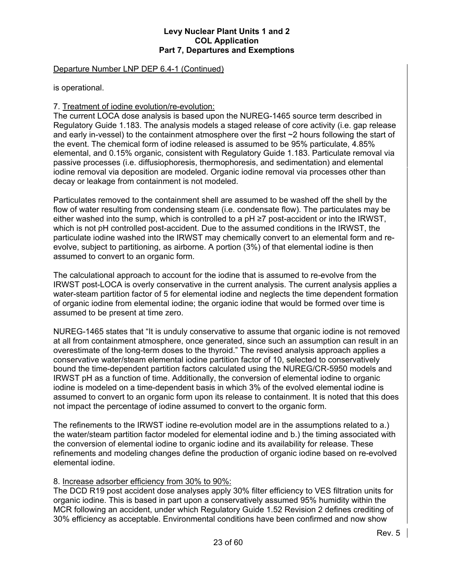## Departure Number LNP DEP 6.4-1 (Continued)

is operational.

# 7. Treatment of iodine evolution/re-evolution:

The current LOCA dose analysis is based upon the NUREG-1465 source term described in Regulatory Guide 1.183. The analysis models a staged release of core activity (i.e. gap release and early in-vessel) to the containment atmosphere over the first ~2 hours following the start of the event. The chemical form of iodine released is assumed to be 95% particulate, 4.85% elemental, and 0.15% organic, consistent with Regulatory Guide 1.183. Particulate removal via passive processes (i.e. diffusiophoresis, thermophoresis, and sedimentation) and elemental iodine removal via deposition are modeled. Organic iodine removal via processes other than decay or leakage from containment is not modeled.

Particulates removed to the containment shell are assumed to be washed off the shell by the flow of water resulting from condensing steam (i.e. condensate flow). The particulates may be either washed into the sump, which is controlled to a  $pH \ge 7$  post-accident or into the IRWST, which is not pH controlled post-accident. Due to the assumed conditions in the IRWST, the particulate iodine washed into the IRWST may chemically convert to an elemental form and reevolve, subject to partitioning, as airborne. A portion (3%) of that elemental iodine is then assumed to convert to an organic form.

The calculational approach to account for the iodine that is assumed to re-evolve from the IRWST post-LOCA is overly conservative in the current analysis. The current analysis applies a water-steam partition factor of 5 for elemental iodine and neglects the time dependent formation of organic iodine from elemental iodine; the organic iodine that would be formed over time is assumed to be present at time zero.

NUREG-1465 states that "It is unduly conservative to assume that organic iodine is not removed at all from containment atmosphere, once generated, since such an assumption can result in an overestimate of the long-term doses to the thyroid." The revised analysis approach applies a conservative water/steam elemental iodine partition factor of 10, selected to conservatively bound the time-dependent partition factors calculated using the NUREG/CR-5950 models and IRWST pH as a function of time. Additionally, the conversion of elemental iodine to organic iodine is modeled on a time-dependent basis in which 3% of the evolved elemental iodine is assumed to convert to an organic form upon its release to containment. It is noted that this does not impact the percentage of iodine assumed to convert to the organic form.

The refinements to the IRWST iodine re-evolution model are in the assumptions related to a.) the water/steam partition factor modeled for elemental iodine and b.) the timing associated with the conversion of elemental iodine to organic iodine and its availability for release. These refinements and modeling changes define the production of organic iodine based on re-evolved elemental iodine.

# 8. Increase adsorber efficiency from 30% to 90%:

The DCD R19 post accident dose analyses apply 30% filter efficiency to VES filtration units for organic iodine. This is based in part upon a conservatively assumed 95% humidity within the MCR following an accident, under which Regulatory Guide 1.52 Revision 2 defines crediting of 30% efficiency as acceptable. Environmental conditions have been confirmed and now show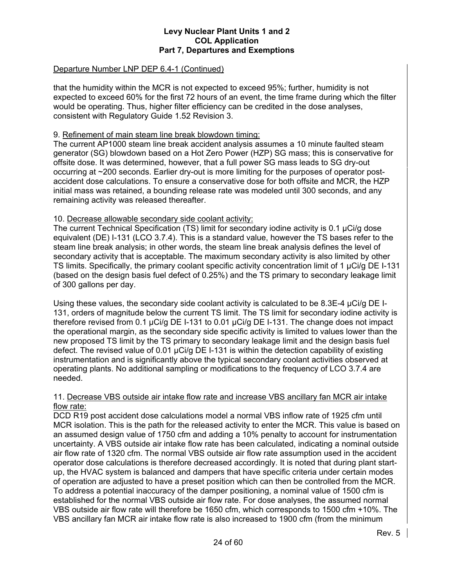# Departure Number LNP DEP 6.4-1 (Continued)

that the humidity within the MCR is not expected to exceed 95%; further, humidity is not expected to exceed 60% for the first 72 hours of an event, the time frame during which the filter would be operating. Thus, higher filter efficiency can be credited in the dose analyses, consistent with Regulatory Guide 1.52 Revision 3.

# 9. Refinement of main steam line break blowdown timing:

The current AP1000 steam line break accident analysis assumes a 10 minute faulted steam generator (SG) blowdown based on a Hot Zero Power (HZP) SG mass; this is conservative for offsite dose. It was determined, however, that a full power SG mass leads to SG dry-out occurring at ~200 seconds. Earlier dry-out is more limiting for the purposes of operator postaccident dose calculations. To ensure a conservative dose for both offsite and MCR, the HZP initial mass was retained, a bounding release rate was modeled until 300 seconds, and any remaining activity was released thereafter.

# 10. Decrease allowable secondary side coolant activity:

The current Technical Specification (TS) limit for secondary iodine activity is 0.1 μCi/g dose equivalent (DE) I-131 (LCO 3.7.4). This is a standard value, however the TS bases refer to the steam line break analysis; in other words, the steam line break analysis defines the level of secondary activity that is acceptable. The maximum secondary activity is also limited by other TS limits. Specifically, the primary coolant specific activity concentration limit of 1 μCi/g DE I-131 (based on the design basis fuel defect of 0.25%) and the TS primary to secondary leakage limit of 300 gallons per day.

Using these values, the secondary side coolant activity is calculated to be 8.3E-4 μCi/g DE I-131, orders of magnitude below the current TS limit. The TS limit for secondary iodine activity is therefore revised from 0.1 μCi/g DE I-131 to 0.01 μCi/g DE I-131. The change does not impact the operational margin, as the secondary side specific activity is limited to values lower than the new proposed TS limit by the TS primary to secondary leakage limit and the design basis fuel defect. The revised value of 0.01 μCi/g DE I-131 is within the detection capability of existing instrumentation and is significantly above the typical secondary coolant activities observed at operating plants. No additional sampling or modifications to the frequency of LCO 3.7.4 are needed.

#### 11. Decrease VBS outside air intake flow rate and increase VBS ancillary fan MCR air intake flow rate:

DCD R19 post accident dose calculations model a normal VBS inflow rate of 1925 cfm until MCR isolation. This is the path for the released activity to enter the MCR. This value is based on an assumed design value of 1750 cfm and adding a 10% penalty to account for instrumentation uncertainty. A VBS outside air intake flow rate has been calculated, indicating a nominal outside air flow rate of 1320 cfm. The normal VBS outside air flow rate assumption used in the accident operator dose calculations is therefore decreased accordingly. It is noted that during plant startup, the HVAC system is balanced and dampers that have specific criteria under certain modes of operation are adjusted to have a preset position which can then be controlled from the MCR. To address a potential inaccuracy of the damper positioning, a nominal value of 1500 cfm is established for the normal VBS outside air flow rate. For dose analyses, the assumed normal VBS outside air flow rate will therefore be 1650 cfm, which corresponds to 1500 cfm +10%. The VBS ancillary fan MCR air intake flow rate is also increased to 1900 cfm (from the minimum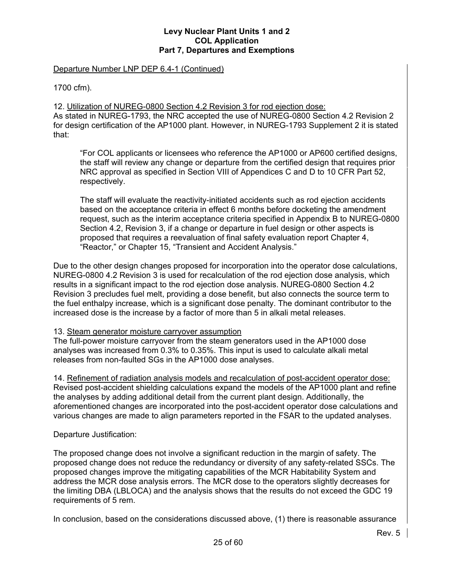#### Departure Number LNP DEP 6.4-1 (Continued)

1700 cfm).

12. Utilization of NUREG-0800 Section 4.2 Revision 3 for rod ejection dose: As stated in NUREG-1793, the NRC accepted the use of NUREG-0800 Section 4.2 Revision 2 for design certification of the AP1000 plant. However, in NUREG-1793 Supplement 2 it is stated that:

"For COL applicants or licensees who reference the AP1000 or AP600 certified designs, the staff will review any change or departure from the certified design that requires prior NRC approval as specified in Section VIII of Appendices C and D to 10 CFR Part 52, respectively.

The staff will evaluate the reactivity-initiated accidents such as rod ejection accidents based on the acceptance criteria in effect 6 months before docketing the amendment request, such as the interim acceptance criteria specified in Appendix B to NUREG-0800 Section 4.2, Revision 3, if a change or departure in fuel design or other aspects is proposed that requires a reevaluation of final safety evaluation report Chapter 4, "Reactor," or Chapter 15, "Transient and Accident Analysis."

Due to the other design changes proposed for incorporation into the operator dose calculations, NUREG-0800 4.2 Revision 3 is used for recalculation of the rod ejection dose analysis, which results in a significant impact to the rod ejection dose analysis. NUREG-0800 Section 4.2 Revision 3 precludes fuel melt, providing a dose benefit, but also connects the source term to the fuel enthalpy increase, which is a significant dose penalty. The dominant contributor to the increased dose is the increase by a factor of more than 5 in alkali metal releases.

# 13. Steam generator moisture carryover assumption

The full-power moisture carryover from the steam generators used in the AP1000 dose analyses was increased from 0.3% to 0.35%. This input is used to calculate alkali metal releases from non-faulted SGs in the AP1000 dose analyses.

14. Refinement of radiation analysis models and recalculation of post-accident operator dose: Revised post-accident shielding calculations expand the models of the AP1000 plant and refine the analyses by adding additional detail from the current plant design. Additionally, the aforementioned changes are incorporated into the post-accident operator dose calculations and various changes are made to align parameters reported in the FSAR to the updated analyses.

# Departure Justification:

The proposed change does not involve a significant reduction in the margin of safety. The proposed change does not reduce the redundancy or diversity of any safety-related SSCs. The proposed changes improve the mitigating capabilities of the MCR Habitability System and address the MCR dose analysis errors. The MCR dose to the operators slightly decreases for the limiting DBA (LBLOCA) and the analysis shows that the results do not exceed the GDC 19 requirements of 5 rem.

In conclusion, based on the considerations discussed above, (1) there is reasonable assurance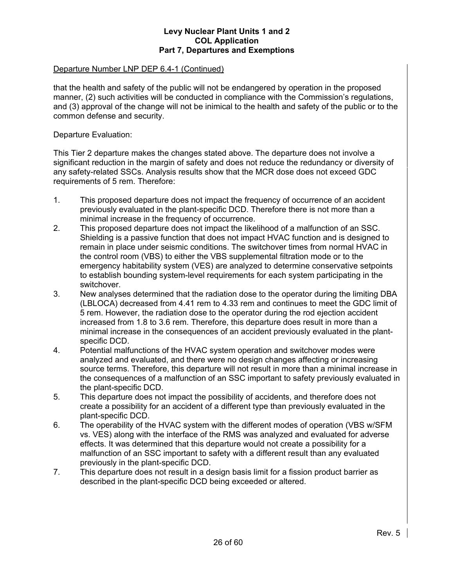## Departure Number LNP DEP 6.4-1 (Continued)

that the health and safety of the public will not be endangered by operation in the proposed manner, (2) such activities will be conducted in compliance with the Commission's regulations, and (3) approval of the change will not be inimical to the health and safety of the public or to the common defense and security.

Departure Evaluation:

This Tier 2 departure makes the changes stated above. The departure does not involve a significant reduction in the margin of safety and does not reduce the redundancy or diversity of any safety-related SSCs. Analysis results show that the MCR dose does not exceed GDC requirements of 5 rem. Therefore:

- 1. This proposed departure does not impact the frequency of occurrence of an accident previously evaluated in the plant-specific DCD. Therefore there is not more than a minimal increase in the frequency of occurrence.
- 2. This proposed departure does not impact the likelihood of a malfunction of an SSC. Shielding is a passive function that does not impact HVAC function and is designed to remain in place under seismic conditions. The switchover times from normal HVAC in the control room (VBS) to either the VBS supplemental filtration mode or to the emergency habitability system (VES) are analyzed to determine conservative setpoints to establish bounding system-level requirements for each system participating in the switchover.
- 3. New analyses determined that the radiation dose to the operator during the limiting DBA (LBLOCA) decreased from 4.41 rem to 4.33 rem and continues to meet the GDC limit of 5 rem. However, the radiation dose to the operator during the rod ejection accident increased from 1.8 to 3.6 rem. Therefore, this departure does result in more than a minimal increase in the consequences of an accident previously evaluated in the plantspecific DCD.
- 4. Potential malfunctions of the HVAC system operation and switchover modes were analyzed and evaluated, and there were no design changes affecting or increasing source terms. Therefore, this departure will not result in more than a minimal increase in the consequences of a malfunction of an SSC important to safety previously evaluated in the plant-specific DCD.
- 5. This departure does not impact the possibility of accidents, and therefore does not create a possibility for an accident of a different type than previously evaluated in the plant-specific DCD.
- 6. The operability of the HVAC system with the different modes of operation (VBS w/SFM vs. VES) along with the interface of the RMS was analyzed and evaluated for adverse effects. It was determined that this departure would not create a possibility for a malfunction of an SSC important to safety with a different result than any evaluated previously in the plant-specific DCD.
- 7. This departure does not result in a design basis limit for a fission product barrier as described in the plant-specific DCD being exceeded or altered.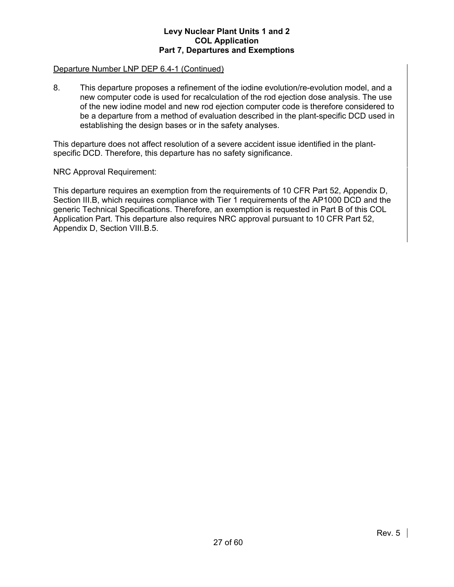## Departure Number LNP DEP 6.4-1 (Continued)

8. This departure proposes a refinement of the iodine evolution/re-evolution model, and a new computer code is used for recalculation of the rod ejection dose analysis. The use of the new iodine model and new rod ejection computer code is therefore considered to be a departure from a method of evaluation described in the plant-specific DCD used in establishing the design bases or in the safety analyses.

This departure does not affect resolution of a severe accident issue identified in the plantspecific DCD. Therefore, this departure has no safety significance.

#### NRC Approval Requirement:

This departure requires an exemption from the requirements of 10 CFR Part 52, Appendix D, Section III.B, which requires compliance with Tier 1 requirements of the AP1000 DCD and the generic Technical Specifications. Therefore, an exemption is requested in Part B of this COL Application Part. This departure also requires NRC approval pursuant to 10 CFR Part 52, Appendix D, Section VIII.B.5.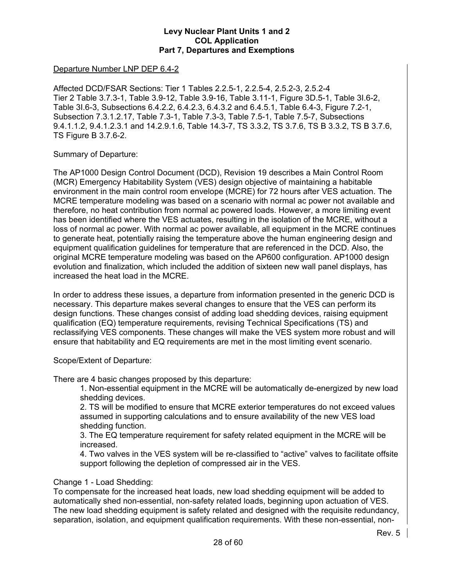# Departure Number LNP DEP 6.4-2

Affected DCD/FSAR Sections: Tier 1 Tables 2.2.5-1, 2.2.5-4, 2.5.2-3, 2.5.2-4 Tier 2 Table 3.7.3-1, Table 3.9-12, Table 3.9-16, Table 3.11-1, Figure 3D.5-1, Table 3I.6-2, Table 3I.6-3, Subsections 6.4.2.2, 6.4.2.3, 6.4.3.2 and 6.4.5.1, Table 6.4-3, Figure 7.2-1, Subsection 7.3.1.2.17, Table 7.3-1, Table 7.3-3, Table 7.5-1, Table 7.5-7, Subsections 9.4.1.1.2, 9.4.1.2.3.1 and 14.2.9.1.6, Table 14.3-7, TS 3.3.2, TS 3.7.6, TS B 3.3.2, TS B 3.7.6, TS Figure B 3.7.6-2.

# Summary of Departure:

The AP1000 Design Control Document (DCD), Revision 19 describes a Main Control Room (MCR) Emergency Habitability System (VES) design objective of maintaining a habitable environment in the main control room envelope (MCRE) for 72 hours after VES actuation. The MCRE temperature modeling was based on a scenario with normal ac power not available and therefore, no heat contribution from normal ac powered loads. However, a more limiting event has been identified where the VES actuates, resulting in the isolation of the MCRE, without a loss of normal ac power. With normal ac power available, all equipment in the MCRE continues to generate heat, potentially raising the temperature above the human engineering design and equipment qualification guidelines for temperature that are referenced in the DCD. Also, the original MCRE temperature modeling was based on the AP600 configuration. AP1000 design evolution and finalization, which included the addition of sixteen new wall panel displays, has increased the heat load in the MCRE.

In order to address these issues, a departure from information presented in the generic DCD is necessary. This departure makes several changes to ensure that the VES can perform its design functions. These changes consist of adding load shedding devices, raising equipment qualification (EQ) temperature requirements, revising Technical Specifications (TS) and reclassifying VES components. These changes will make the VES system more robust and will ensure that habitability and EQ requirements are met in the most limiting event scenario.

# Scope/Extent of Departure:

There are 4 basic changes proposed by this departure:

1. Non-essential equipment in the MCRE will be automatically de-energized by new load shedding devices.

2. TS will be modified to ensure that MCRE exterior temperatures do not exceed values assumed in supporting calculations and to ensure availability of the new VES load shedding function.

3. The EQ temperature requirement for safety related equipment in the MCRE will be increased.

4. Two valves in the VES system will be re-classified to "active" valves to facilitate offsite support following the depletion of compressed air in the VES.

# Change 1 - Load Shedding:

To compensate for the increased heat loads, new load shedding equipment will be added to automatically shed non-essential, non-safety related loads, beginning upon actuation of VES. The new load shedding equipment is safety related and designed with the requisite redundancy, separation, isolation, and equipment qualification requirements. With these non-essential, non-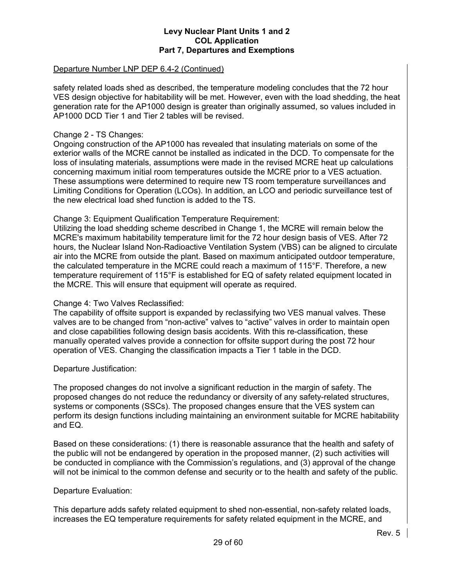## Departure Number LNP DEP 6.4-2 (Continued)

safety related loads shed as described, the temperature modeling concludes that the 72 hour VES design objective for habitability will be met. However, even with the load shedding, the heat generation rate for the AP1000 design is greater than originally assumed, so values included in AP1000 DCD Tier 1 and Tier 2 tables will be revised.

# Change 2 - TS Changes:

Ongoing construction of the AP1000 has revealed that insulating materials on some of the exterior walls of the MCRE cannot be installed as indicated in the DCD. To compensate for the loss of insulating materials, assumptions were made in the revised MCRE heat up calculations concerning maximum initial room temperatures outside the MCRE prior to a VES actuation. These assumptions were determined to require new TS room temperature surveillances and Limiting Conditions for Operation (LCOs). In addition, an LCO and periodic surveillance test of the new electrical load shed function is added to the TS.

# Change 3: Equipment Qualification Temperature Requirement:

Utilizing the load shedding scheme described in Change 1, the MCRE will remain below the MCRE's maximum habitability temperature limit for the 72 hour design basis of VES. After 72 hours, the Nuclear Island Non-Radioactive Ventilation System (VBS) can be aligned to circulate air into the MCRE from outside the plant. Based on maximum anticipated outdoor temperature, the calculated temperature in the MCRE could reach a maximum of 115°F. Therefore, a new temperature requirement of 115°F is established for EQ of safety related equipment located in the MCRE. This will ensure that equipment will operate as required.

# Change 4: Two Valves Reclassified:

The capability of offsite support is expanded by reclassifying two VES manual valves. These valves are to be changed from "non-active" valves to "active" valves in order to maintain open and close capabilities following design basis accidents. With this re-classification, these manually operated valves provide a connection for offsite support during the post 72 hour operation of VES. Changing the classification impacts a Tier 1 table in the DCD.

#### Departure Justification:

The proposed changes do not involve a significant reduction in the margin of safety. The proposed changes do not reduce the redundancy or diversity of any safety-related structures, systems or components (SSCs). The proposed changes ensure that the VES system can perform its design functions including maintaining an environment suitable for MCRE habitability and EQ.

Based on these considerations: (1) there is reasonable assurance that the health and safety of the public will not be endangered by operation in the proposed manner, (2) such activities will be conducted in compliance with the Commission's regulations, and (3) approval of the change will not be inimical to the common defense and security or to the health and safety of the public.

#### Departure Evaluation:

This departure adds safety related equipment to shed non-essential, non-safety related loads, increases the EQ temperature requirements for safety related equipment in the MCRE, and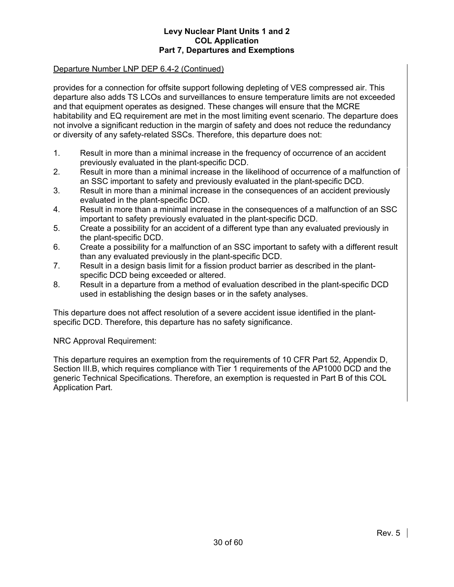# Departure Number LNP DEP 6.4-2 (Continued)

provides for a connection for offsite support following depleting of VES compressed air. This departure also adds TS LCOs and surveillances to ensure temperature limits are not exceeded and that equipment operates as designed. These changes will ensure that the MCRE habitability and EQ requirement are met in the most limiting event scenario. The departure does not involve a significant reduction in the margin of safety and does not reduce the redundancy or diversity of any safety-related SSCs. Therefore, this departure does not:

- 1. Result in more than a minimal increase in the frequency of occurrence of an accident previously evaluated in the plant-specific DCD.
- 2. Result in more than a minimal increase in the likelihood of occurrence of a malfunction of an SSC important to safety and previously evaluated in the plant-specific DCD.
- 3. Result in more than a minimal increase in the consequences of an accident previously evaluated in the plant-specific DCD.
- 4. Result in more than a minimal increase in the consequences of a malfunction of an SSC important to safety previously evaluated in the plant-specific DCD.
- 5. Create a possibility for an accident of a different type than any evaluated previously in the plant-specific DCD.
- 6. Create a possibility for a malfunction of an SSC important to safety with a different result than any evaluated previously in the plant-specific DCD.
- 7. Result in a design basis limit for a fission product barrier as described in the plantspecific DCD being exceeded or altered.
- 8. Result in a departure from a method of evaluation described in the plant-specific DCD used in establishing the design bases or in the safety analyses.

This departure does not affect resolution of a severe accident issue identified in the plantspecific DCD. Therefore, this departure has no safety significance.

NRC Approval Requirement:

This departure requires an exemption from the requirements of 10 CFR Part 52, Appendix D, Section III.B, which requires compliance with Tier 1 requirements of the AP1000 DCD and the generic Technical Specifications. Therefore, an exemption is requested in Part B of this COL Application Part.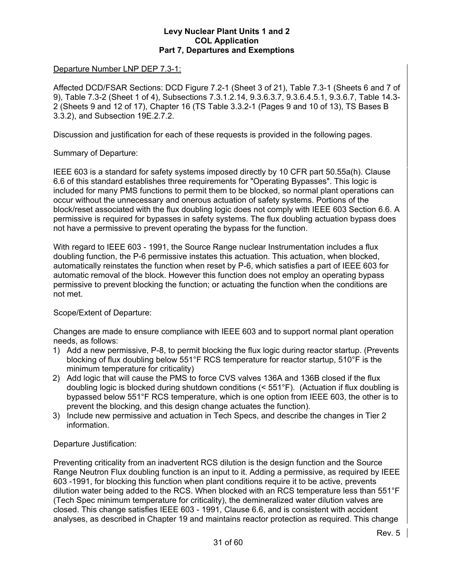# Departure Number LNP DEP 7.3-1:

Affected DCD/FSAR Sections: DCD Figure 7.2-1 (Sheet 3 of 21), Table 7.3-1 (Sheets 6 and 7 of 9), Table 7.3-2 (Sheet 1 of 4), Subsections 7.3.1.2.14, 9.3.6.3.7, 9.3.6.4.5.1, 9.3.6.7, Table 14.3- 2 (Sheets 9 and 12 of 17), Chapter 16 (TS Table 3.3.2-1 (Pages 9 and 10 of 13), TS Bases B 3.3.2), and Subsection 19E.2.7.2.

Discussion and justification for each of these requests is provided in the following pages.

# Summary of Departure:

IEEE 603 is a standard for safety systems imposed directly by 10 CFR part 50.55a(h). Clause 6.6 of this standard establishes three requirements for "Operating Bypasses". This logic is included for many PMS functions to permit them to be blocked, so normal plant operations can occur without the unnecessary and onerous actuation of safety systems. Portions of the block/reset associated with the flux doubling logic does not comply with IEEE 603 Section 6.6. A permissive is required for bypasses in safety systems. The flux doubling actuation bypass does not have a permissive to prevent operating the bypass for the function.

With regard to IEEE 603 - 1991, the Source Range nuclear Instrumentation includes a flux doubling function, the P-6 permissive instates this actuation. This actuation, when blocked, automatically reinstates the function when reset by P-6, which satisfies a part of IEEE 603 for automatic removal of the block. However this function does not employ an operating bypass permissive to prevent blocking the function; or actuating the function when the conditions are not met.

# Scope/Extent of Departure:

Changes are made to ensure compliance with IEEE 603 and to support normal plant operation needs, as follows:

- 1) Add a new permissive, P-8, to permit blocking the flux logic during reactor startup. (Prevents blocking of flux doubling below 551°F RCS temperature for reactor startup, 510°F is the minimum temperature for criticality)
- 2) Add logic that will cause the PMS to force CVS valves 136A and 136B closed if the flux doubling logic is blocked during shutdown conditions (< 551°F). (Actuation if flux doubling is bypassed below 551°F RCS temperature, which is one option from IEEE 603, the other is to prevent the blocking, and this design change actuates the function).
- 3) Include new permissive and actuation in Tech Specs, and describe the changes in Tier 2 information.

# Departure Justification:

Preventing criticality from an inadvertent RCS dilution is the design function and the Source Range Neutron Flux doubling function is an input to it. Adding a permissive, as required by IEEE 603 -1991, for blocking this function when plant conditions require it to be active, prevents dilution water being added to the RCS. When blocked with an RCS temperature less than 551°F (Tech Spec minimum temperature for criticality), the demineralized water dilution valves are closed. This change satisfies IEEE 603 - 1991, Clause 6.6, and is consistent with accident analyses, as described in Chapter 19 and maintains reactor protection as required. This change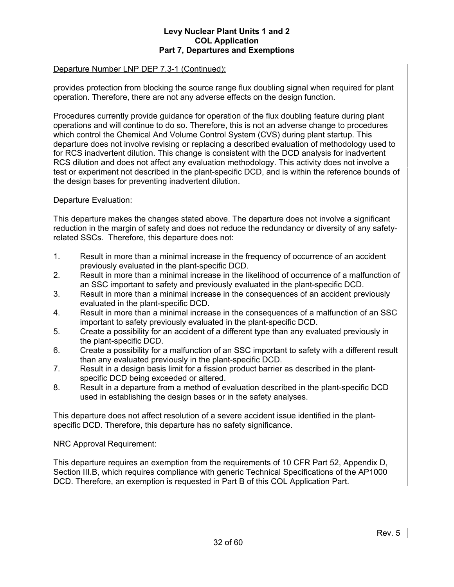# Departure Number LNP DEP 7.3-1 (Continued):

provides protection from blocking the source range flux doubling signal when required for plant operation. Therefore, there are not any adverse effects on the design function.

Procedures currently provide guidance for operation of the flux doubling feature during plant operations and will continue to do so. Therefore, this is not an adverse change to procedures which control the Chemical And Volume Control System (CVS) during plant startup. This departure does not involve revising or replacing a described evaluation of methodology used to for RCS inadvertent dilution. This change is consistent with the DCD analysis for inadvertent RCS dilution and does not affect any evaluation methodology. This activity does not involve a test or experiment not described in the plant-specific DCD, and is within the reference bounds of the design bases for preventing inadvertent dilution.

Departure Evaluation:

This departure makes the changes stated above. The departure does not involve a significant reduction in the margin of safety and does not reduce the redundancy or diversity of any safetyrelated SSCs. Therefore, this departure does not:

- 1. Result in more than a minimal increase in the frequency of occurrence of an accident previously evaluated in the plant-specific DCD.
- 2. Result in more than a minimal increase in the likelihood of occurrence of a malfunction of an SSC important to safety and previously evaluated in the plant-specific DCD.
- 3. Result in more than a minimal increase in the consequences of an accident previously evaluated in the plant-specific DCD.
- 4. Result in more than a minimal increase in the consequences of a malfunction of an SSC important to safety previously evaluated in the plant-specific DCD.
- 5. Create a possibility for an accident of a different type than any evaluated previously in the plant-specific DCD.
- 6. Create a possibility for a malfunction of an SSC important to safety with a different result than any evaluated previously in the plant-specific DCD.
- 7. Result in a design basis limit for a fission product barrier as described in the plantspecific DCD being exceeded or altered.
- 8. Result in a departure from a method of evaluation described in the plant-specific DCD used in establishing the design bases or in the safety analyses.

This departure does not affect resolution of a severe accident issue identified in the plantspecific DCD. Therefore, this departure has no safety significance.

NRC Approval Requirement:

This departure requires an exemption from the requirements of 10 CFR Part 52, Appendix D, Section III.B, which requires compliance with generic Technical Specifications of the AP1000 DCD. Therefore, an exemption is requested in Part B of this COL Application Part.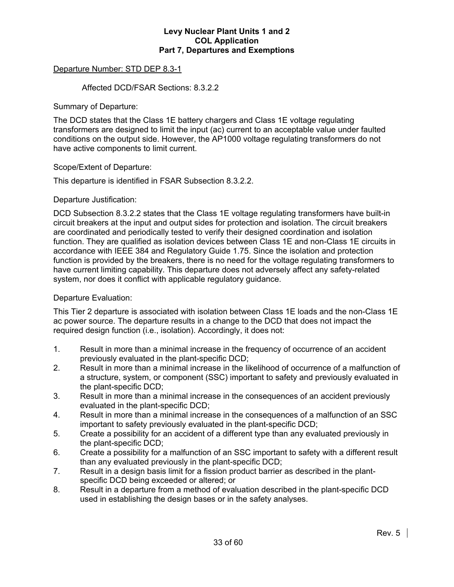# Departure Number: STD DEP 8.3-1

## Affected DCD/FSAR Sections: 8.3.2.2

Summary of Departure:

The DCD states that the Class 1E battery chargers and Class 1E voltage regulating transformers are designed to limit the input (ac) current to an acceptable value under faulted conditions on the output side. However, the AP1000 voltage regulating transformers do not have active components to limit current.

# Scope/Extent of Departure:

This departure is identified in FSAR Subsection 8.3.2.2.

# Departure Justification:

DCD Subsection 8.3.2.2 states that the Class 1E voltage regulating transformers have built-in circuit breakers at the input and output sides for protection and isolation. The circuit breakers are coordinated and periodically tested to verify their designed coordination and isolation function. They are qualified as isolation devices between Class 1E and non-Class 1E circuits in accordance with IEEE 384 and Regulatory Guide 1.75. Since the isolation and protection function is provided by the breakers, there is no need for the voltage regulating transformers to have current limiting capability. This departure does not adversely affect any safety-related system, nor does it conflict with applicable regulatory guidance.

## Departure Evaluation:

This Tier 2 departure is associated with isolation between Class 1E loads and the non-Class 1E ac power source. The departure results in a change to the DCD that does not impact the required design function (i.e., isolation). Accordingly, it does not:

- 1. Result in more than a minimal increase in the frequency of occurrence of an accident previously evaluated in the plant-specific DCD;
- 2. Result in more than a minimal increase in the likelihood of occurrence of a malfunction of a structure, system, or component (SSC) important to safety and previously evaluated in the plant-specific DCD;
- 3. Result in more than a minimal increase in the consequences of an accident previously evaluated in the plant-specific DCD;
- 4. Result in more than a minimal increase in the consequences of a malfunction of an SSC important to safety previously evaluated in the plant-specific DCD;
- 5. Create a possibility for an accident of a different type than any evaluated previously in the plant-specific DCD;
- 6. Create a possibility for a malfunction of an SSC important to safety with a different result than any evaluated previously in the plant-specific DCD;
- 7. Result in a design basis limit for a fission product barrier as described in the plantspecific DCD being exceeded or altered; or
- 8. Result in a departure from a method of evaluation described in the plant-specific DCD used in establishing the design bases or in the safety analyses.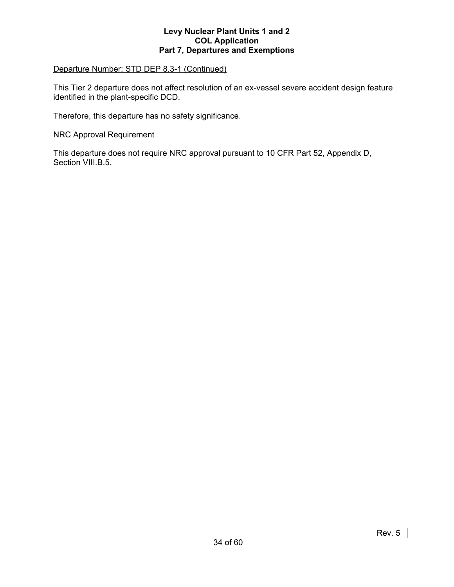# Departure Number: STD DEP 8.3-1 (Continued)

This Tier 2 departure does not affect resolution of an ex-vessel severe accident design feature identified in the plant-specific DCD.

Therefore, this departure has no safety significance.

NRC Approval Requirement

This departure does not require NRC approval pursuant to 10 CFR Part 52, Appendix D, Section VIII.B.5.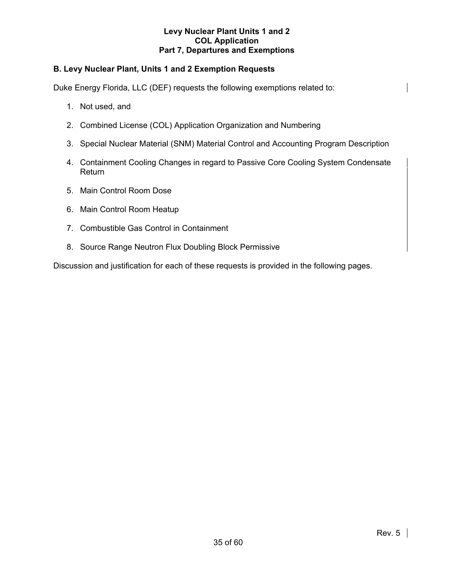# **B. Levy Nuclear Plant, Units 1 and 2 Exemption Requests**

Duke Energy Florida, LLC (DEF) requests the following exemptions related to:

- 1. Not used, and
- 2. Combined License (COL) Application Organization and Numbering
- 3. Special Nuclear Material (SNM) Material Control and Accounting Program Description
- 4. Containment Cooling Changes in regard to Passive Core Cooling System Condensate Return
- 5. Main Control Room Dose
- 6. Main Control Room Heatup
- 7. Combustible Gas Control in Containment
- 8. Source Range Neutron Flux Doubling Block Permissive

Discussion and justification for each of these requests is provided in the following pages.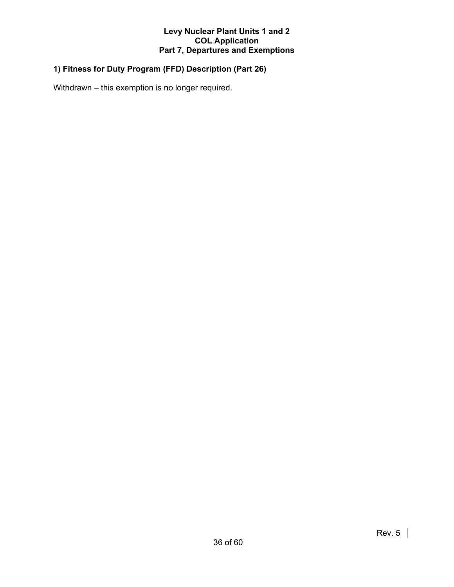# **1) Fitness for Duty Program (FFD) Description (Part 26)**

Withdrawn – this exemption is no longer required.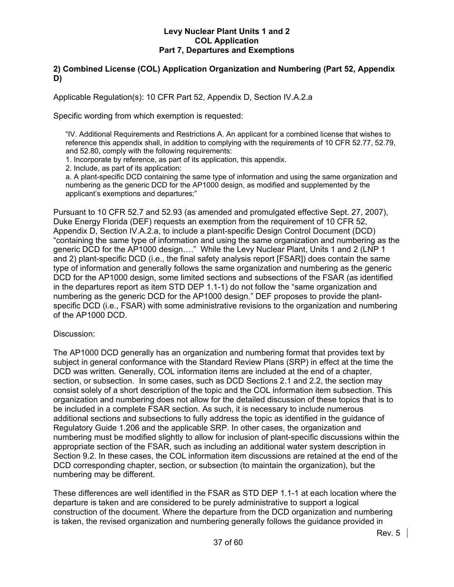# **2) Combined License (COL) Application Organization and Numbering (Part 52, Appendix D)**

Applicable Regulation(s): 10 CFR Part 52, Appendix D, Section IV.A.2.a

Specific wording from which exemption is requested:

"IV. Additional Requirements and Restrictions A. An applicant for a combined license that wishes to reference this appendix shall, in addition to complying with the requirements of 10 CFR 52.77, 52.79, and 52.80, comply with the following requirements:

1. Incorporate by reference, as part of its application, this appendix.

2. Include, as part of its application:

a. A plant-specific DCD containing the same type of information and using the same organization and numbering as the generic DCD for the AP1000 design, as modified and supplemented by the applicant's exemptions and departures;"

Pursuant to 10 CFR 52.7 and 52.93 (as amended and promulgated effective Sept. 27, 2007), Duke Energy Florida (DEF) requests an exemption from the requirement of 10 CFR 52, Appendix D, Section IV.A.2.a, to include a plant-specific Design Control Document (DCD) "containing the same type of information and using the same organization and numbering as the generic DCD for the AP1000 design…." While the Levy Nuclear Plant, Units 1 and 2 (LNP 1 and 2) plant-specific DCD (i.e., the final safety analysis report [FSAR]) does contain the same type of information and generally follows the same organization and numbering as the generic DCD for the AP1000 design, some limited sections and subsections of the FSAR (as identified in the departures report as item STD DEP 1.1-1) do not follow the "same organization and numbering as the generic DCD for the AP1000 design." DEF proposes to provide the plantspecific DCD (i.e., FSAR) with some administrative revisions to the organization and numbering of the AP1000 DCD.

#### Discussion:

The AP1000 DCD generally has an organization and numbering format that provides text by subject in general conformance with the Standard Review Plans (SRP) in effect at the time the DCD was written. Generally, COL information items are included at the end of a chapter, section, or subsection. In some cases, such as DCD Sections 2.1 and 2.2, the section may consist solely of a short description of the topic and the COL information item subsection. This organization and numbering does not allow for the detailed discussion of these topics that is to be included in a complete FSAR section. As such, it is necessary to include numerous additional sections and subsections to fully address the topic as identified in the guidance of Regulatory Guide 1.206 and the applicable SRP. In other cases, the organization and numbering must be modified slightly to allow for inclusion of plant-specific discussions within the appropriate section of the FSAR, such as including an additional water system description in Section 9.2. In these cases, the COL information item discussions are retained at the end of the DCD corresponding chapter, section, or subsection (to maintain the organization), but the numbering may be different.

These differences are well identified in the FSAR as STD DEP 1.1-1 at each location where the departure is taken and are considered to be purely administrative to support a logical construction of the document. Where the departure from the DCD organization and numbering is taken, the revised organization and numbering generally follows the guidance provided in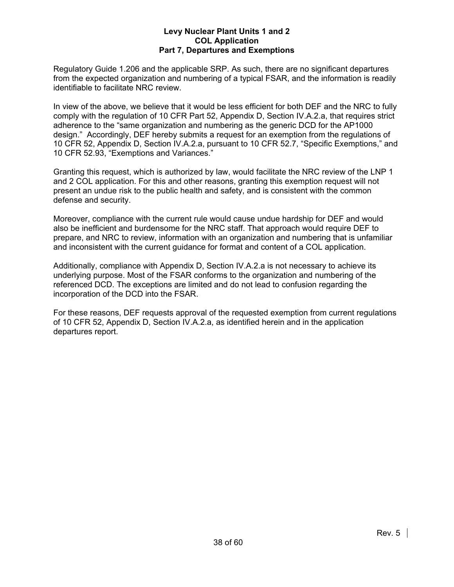Regulatory Guide 1.206 and the applicable SRP. As such, there are no significant departures from the expected organization and numbering of a typical FSAR, and the information is readily identifiable to facilitate NRC review.

In view of the above, we believe that it would be less efficient for both DEF and the NRC to fully comply with the regulation of 10 CFR Part 52, Appendix D, Section IV.A.2.a, that requires strict adherence to the "same organization and numbering as the generic DCD for the AP1000 design." Accordingly, DEF hereby submits a request for an exemption from the regulations of 10 CFR 52, Appendix D, Section IV.A.2.a, pursuant to 10 CFR 52.7, "Specific Exemptions," and 10 CFR 52.93, "Exemptions and Variances."

Granting this request, which is authorized by law, would facilitate the NRC review of the LNP 1 and 2 COL application. For this and other reasons, granting this exemption request will not present an undue risk to the public health and safety, and is consistent with the common defense and security.

Moreover, compliance with the current rule would cause undue hardship for DEF and would also be inefficient and burdensome for the NRC staff. That approach would require DEF to prepare, and NRC to review, information with an organization and numbering that is unfamiliar and inconsistent with the current guidance for format and content of a COL application.

Additionally, compliance with Appendix D, Section IV.A.2.a is not necessary to achieve its underlying purpose. Most of the FSAR conforms to the organization and numbering of the referenced DCD. The exceptions are limited and do not lead to confusion regarding the incorporation of the DCD into the FSAR.

For these reasons, DEF requests approval of the requested exemption from current regulations of 10 CFR 52, Appendix D, Section IV.A.2.a, as identified herein and in the application departures report.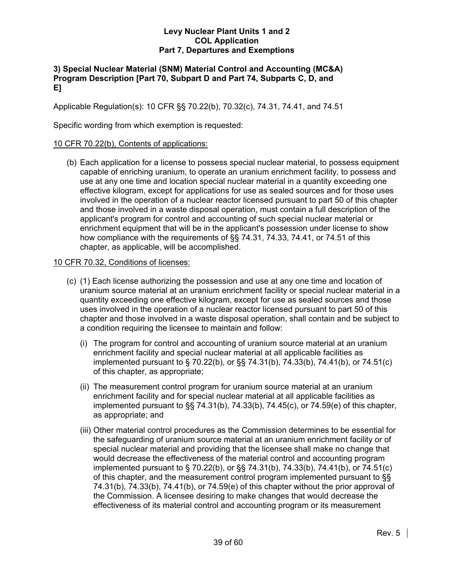# **3) Special Nuclear Material (SNM) Material Control and Accounting (MC&A) Program Description [Part 70, Subpart D and Part 74, Subparts C, D, and E]**

Applicable Regulation(s): 10 CFR §§ 70.22(b), 70.32(c), 74.31, 74.41, and 74.51

Specific wording from which exemption is requested:

# 10 CFR 70.22(b), Contents of applications:

 (b) Each application for a license to possess special nuclear material, to possess equipment capable of enriching uranium, to operate an uranium enrichment facility, to possess and use at any one time and location special nuclear material in a quantity exceeding one effective kilogram, except for applications for use as sealed sources and for those uses involved in the operation of a nuclear reactor licensed pursuant to part 50 of this chapter and those involved in a waste disposal operation, must contain a full description of the applicant's program for control and accounting of such special nuclear material or enrichment equipment that will be in the applicant's possession under license to show how compliance with the requirements of §§ 74.31, 74.33, 74.41, or 74.51 of this chapter, as applicable, will be accomplished.

# 10 CFR 70.32, Conditions of licenses:

- (c) (1) Each license authorizing the possession and use at any one time and location of uranium source material at an uranium enrichment facility or special nuclear material in a quantity exceeding one effective kilogram, except for use as sealed sources and those uses involved in the operation of a nuclear reactor licensed pursuant to part 50 of this chapter and those involved in a waste disposal operation, shall contain and be subject to a condition requiring the licensee to maintain and follow:
	- (i) The program for control and accounting of uranium source material at an uranium enrichment facility and special nuclear material at all applicable facilities as implemented pursuant to § 70.22(b), or §§ 74.31(b), 74.33(b), 74.41(b), or 74.51(c) of this chapter, as appropriate;
	- (ii) The measurement control program for uranium source material at an uranium enrichment facility and for special nuclear material at all applicable facilities as implemented pursuant to §§ 74.31(b), 74.33(b), 74.45(c), or 74.59(e) of this chapter, as appropriate; and
	- (iii) Other material control procedures as the Commission determines to be essential for the safeguarding of uranium source material at an uranium enrichment facility or of special nuclear material and providing that the licensee shall make no change that would decrease the effectiveness of the material control and accounting program implemented pursuant to § 70.22(b), or §§ 74.31(b), 74.33(b), 74.41(b), or 74.51(c) of this chapter, and the measurement control program implemented pursuant to §§ 74.31(b), 74.33(b), 74.41(b), or 74.59(e) of this chapter without the prior approval of the Commission. A licensee desiring to make changes that would decrease the effectiveness of its material control and accounting program or its measurement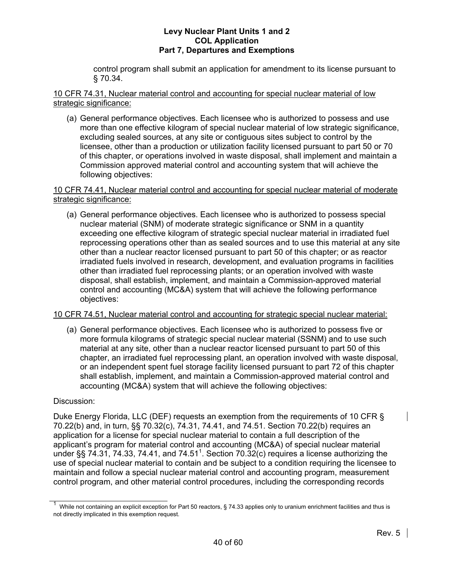control program shall submit an application for amendment to its license pursuant to § 70.34.

10 CFR 74.31, Nuclear material control and accounting for special nuclear material of low strategic significance:

 (a) General performance objectives. Each licensee who is authorized to possess and use more than one effective kilogram of special nuclear material of low strategic significance, excluding sealed sources, at any site or contiguous sites subject to control by the licensee, other than a production or utilization facility licensed pursuant to part 50 or 70 of this chapter, or operations involved in waste disposal, shall implement and maintain a Commission approved material control and accounting system that will achieve the following objectives:

# 10 CFR 74.41, Nuclear material control and accounting for special nuclear material of moderate strategic significance:

 (a) General performance objectives. Each licensee who is authorized to possess special nuclear material (SNM) of moderate strategic significance or SNM in a quantity exceeding one effective kilogram of strategic special nuclear material in irradiated fuel reprocessing operations other than as sealed sources and to use this material at any site other than a nuclear reactor licensed pursuant to part 50 of this chapter; or as reactor irradiated fuels involved in research, development, and evaluation programs in facilities other than irradiated fuel reprocessing plants; or an operation involved with waste disposal, shall establish, implement, and maintain a Commission-approved material control and accounting (MC&A) system that will achieve the following performance objectives:

# 10 CFR 74.51, Nuclear material control and accounting for strategic special nuclear material:

 (a) General performance objectives. Each licensee who is authorized to possess five or more formula kilograms of strategic special nuclear material (SSNM) and to use such material at any site, other than a nuclear reactor licensed pursuant to part 50 of this chapter, an irradiated fuel reprocessing plant, an operation involved with waste disposal, or an independent spent fuel storage facility licensed pursuant to part 72 of this chapter shall establish, implement, and maintain a Commission-approved material control and accounting (MC&A) system that will achieve the following objectives:

# Discussion:

Duke Energy Florida, LLC (DEF) requests an exemption from the requirements of 10 CFR § 70.22(b) and, in turn, §§ 70.32(c), 74.31, 74.41, and 74.51. Section 70.22(b) requires an application for a license for special nuclear material to contain a full description of the applicant's program for material control and accounting (MC&A) of special nuclear material under §§ 74.31, 74.33, 74.41, and 74.51<sup>1</sup>. Section 70.32(c) requires a license authorizing the use of special nuclear material to contain and be subject to a condition requiring the licensee to maintain and follow a special nuclear material control and accounting program, measurement control program, and other material control procedures, including the corresponding records

<sup>1</sup> While not containing an explicit exception for Part 50 reactors, § 74.33 applies only to uranium enrichment facilities and thus is not directly implicated in this exemption request.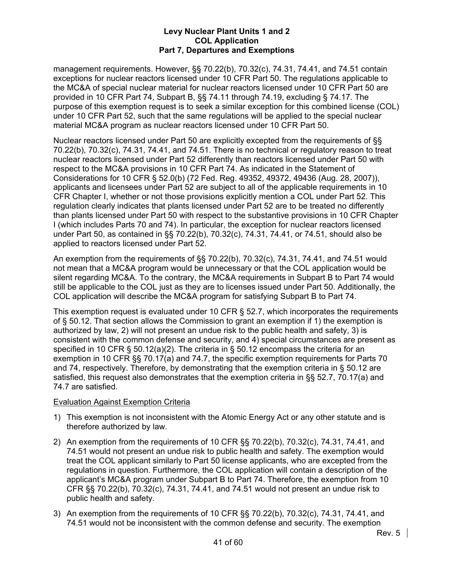management requirements. However, §§ 70.22(b), 70.32(c), 74.31, 74.41, and 74.51 contain exceptions for nuclear reactors licensed under 10 CFR Part 50. The regulations applicable to the MC&A of special nuclear material for nuclear reactors licensed under 10 CFR Part 50 are provided in 10 CFR Part 74, Subpart B, §§ 74.11 through 74.19, excluding § 74.17. The purpose of this exemption request is to seek a similar exception for this combined license (COL) under 10 CFR Part 52, such that the same regulations will be applied to the special nuclear material MC&A program as nuclear reactors licensed under 10 CFR Part 50.

Nuclear reactors licensed under Part 50 are explicitly excepted from the requirements of §§ 70.22(b), 70.32(c), 74.31, 74.41, and 74.51. There is no technical or regulatory reason to treat nuclear reactors licensed under Part 52 differently than reactors licensed under Part 50 with respect to the MC&A provisions in 10 CFR Part 74. As indicated in the Statement of Considerations for 10 CFR § 52.0(b) (72 Fed. Reg. 49352, 49372, 49436 (Aug. 28, 2007)), applicants and licensees under Part 52 are subject to all of the applicable requirements in 10 CFR Chapter I, whether or not those provisions explicitly mention a COL under Part 52. This regulation clearly indicates that plants licensed under Part 52 are to be treated no differently than plants licensed under Part 50 with respect to the substantive provisions in 10 CFR Chapter I (which includes Parts 70 and 74). In particular, the exception for nuclear reactors licensed under Part 50, as contained in §§ 70.22(b), 70.32(c), 74.31, 74.41, or 74.51, should also be applied to reactors licensed under Part 52.

An exemption from the requirements of §§ 70.22(b), 70.32(c), 74.31, 74.41, and 74.51 would not mean that a MC&A program would be unnecessary or that the COL application would be silent regarding MC&A. To the contrary, the MC&A requirements in Subpart B to Part 74 would still be applicable to the COL just as they are to licenses issued under Part 50. Additionally, the COL application will describe the MC&A program for satisfying Subpart B to Part 74.

This exemption request is evaluated under 10 CFR § 52.7, which incorporates the requirements of § 50.12. That section allows the Commission to grant an exemption if 1) the exemption is authorized by law, 2) will not present an undue risk to the public health and safety, 3) is consistent with the common defense and security, and 4) special circumstances are present as specified in 10 CFR § 50.12(a)(2). The criteria in § 50.12 encompass the criteria for an exemption in 10 CFR §§ 70.17(a) and 74.7, the specific exemption requirements for Parts 70 and 74, respectively. Therefore, by demonstrating that the exemption criteria in § 50.12 are satisfied, this request also demonstrates that the exemption criteria in §§ 52.7, 70.17(a) and 74.7 are satisfied.

# Evaluation Against Exemption Criteria

- 1) This exemption is not inconsistent with the Atomic Energy Act or any other statute and is therefore authorized by law.
- 2) An exemption from the requirements of 10 CFR §§ 70.22(b), 70.32(c), 74.31, 74.41, and 74.51 would not present an undue risk to public health and safety. The exemption would treat the COL applicant similarly to Part 50 license applicants, who are excepted from the regulations in question. Furthermore, the COL application will contain a description of the applicant's MC&A program under Subpart B to Part 74. Therefore, the exemption from 10 CFR §§ 70.22(b), 70.32(c), 74.31, 74.41, and 74.51 would not present an undue risk to public health and safety.
- 3) An exemption from the requirements of 10 CFR §§ 70.22(b), 70.32(c), 74.31, 74.41, and 74.51 would not be inconsistent with the common defense and security. The exemption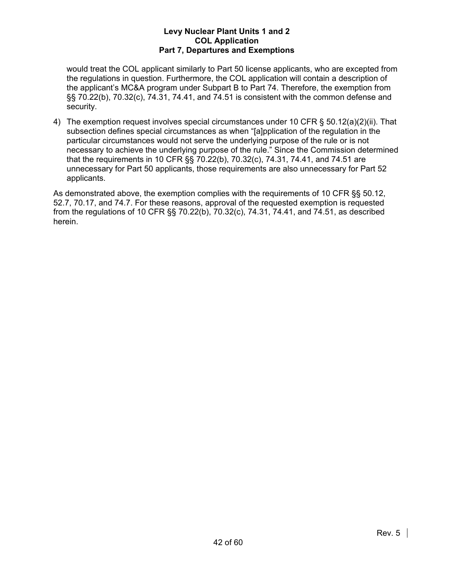would treat the COL applicant similarly to Part 50 license applicants, who are excepted from the regulations in question. Furthermore, the COL application will contain a description of the applicant's MC&A program under Subpart B to Part 74. Therefore, the exemption from §§ 70.22(b), 70.32(c), 74.31, 74.41, and 74.51 is consistent with the common defense and security.

4) The exemption request involves special circumstances under 10 CFR § 50.12(a)(2)(ii). That subsection defines special circumstances as when "[a]pplication of the regulation in the particular circumstances would not serve the underlying purpose of the rule or is not necessary to achieve the underlying purpose of the rule." Since the Commission determined that the requirements in 10 CFR §§ 70.22(b), 70.32(c), 74.31, 74.41, and 74.51 are unnecessary for Part 50 applicants, those requirements are also unnecessary for Part 52 applicants.

As demonstrated above, the exemption complies with the requirements of 10 CFR §§ 50.12, 52.7, 70.17, and 74.7. For these reasons, approval of the requested exemption is requested from the regulations of 10 CFR §§ 70.22(b), 70.32(c), 74.31, 74.41, and 74.51, as described herein.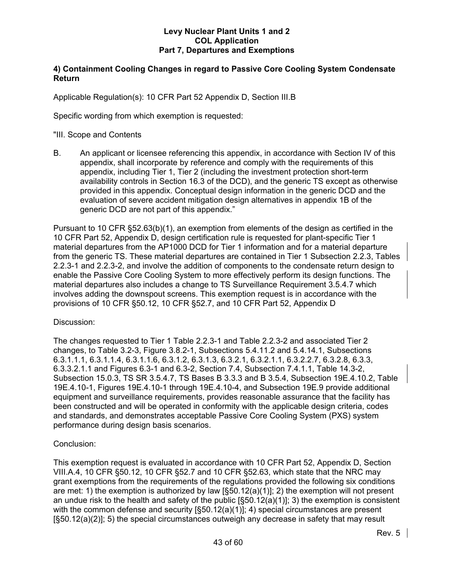# **4) Containment Cooling Changes in regard to Passive Core Cooling System Condensate Return**

Applicable Regulation(s): 10 CFR Part 52 Appendix D, Section III.B

Specific wording from which exemption is requested:

# "III. Scope and Contents

B. An applicant or licensee referencing this appendix, in accordance with Section IV of this appendix, shall incorporate by reference and comply with the requirements of this appendix, including Tier 1, Tier 2 (including the investment protection short-term availability controls in Section 16.3 of the DCD), and the generic TS except as otherwise provided in this appendix. Conceptual design information in the generic DCD and the evaluation of severe accident mitigation design alternatives in appendix 1B of the generic DCD are not part of this appendix."

Pursuant to 10 CFR §52.63(b)(1), an exemption from elements of the design as certified in the 10 CFR Part 52, Appendix D, design certification rule is requested for plant-specific Tier 1 material departures from the AP1000 DCD for Tier 1 information and for a material departure from the generic TS. These material departures are contained in Tier 1 Subsection 2.2.3, Tables 2.2.3-1 and 2.2.3-2, and involve the addition of components to the condensate return design to enable the Passive Core Cooling System to more effectively perform its design functions. The material departures also includes a change to TS Surveillance Requirement 3.5.4.7 which involves adding the downspout screens. This exemption request is in accordance with the provisions of 10 CFR §50.12, 10 CFR §52.7, and 10 CFR Part 52, Appendix D

# Discussion:

The changes requested to Tier 1 Table 2.2.3-1 and Table 2.2.3-2 and associated Tier 2 changes, to Table 3.2-3, Figure 3.8.2-1, Subsections 5.4.11.2 and 5.4.14.1, Subsections 6.3.1.1.1, 6.3.1.1.4, 6.3.1.1.6, 6.3.1.2, 6.3.1.3, 6.3.2.1, 6.3.2.1.1, 6.3.2.2.7, 6.3.2.8, 6.3.3, 6.3.3.2.1.1 and Figures 6.3-1 and 6.3-2, Section 7.4, Subsection 7.4.1.1, Table 14.3-2, Subsection 15.0.3, TS SR 3.5.4.7, TS Bases B 3.3.3 and B 3.5.4, Subsection 19E.4.10.2, Table 19E.4.10-1, Figures 19E.4.10-1 through 19E.4.10-4, and Subsection 19E.9 provide additional equipment and surveillance requirements, provides reasonable assurance that the facility has been constructed and will be operated in conformity with the applicable design criteria, codes and standards, and demonstrates acceptable Passive Core Cooling System (PXS) system performance during design basis scenarios.

# Conclusion:

This exemption request is evaluated in accordance with 10 CFR Part 52, Appendix D, Section VIII.A.4, 10 CFR §50.12, 10 CFR §52.7 and 10 CFR §52.63, which state that the NRC may grant exemptions from the requirements of the regulations provided the following six conditions are met: 1) the exemption is authorized by law  $\left[ \frac{50.12(a)}{1} \right]$ ; 2) the exemption will not present an undue risk to the health and safety of the public  $[§50.12(a)(1)]$ ; 3) the exemption is consistent with the common defense and security [§50.12(a)(1)]; 4) special circumstances are present [§50.12(a)(2)]; 5) the special circumstances outweigh any decrease in safety that may result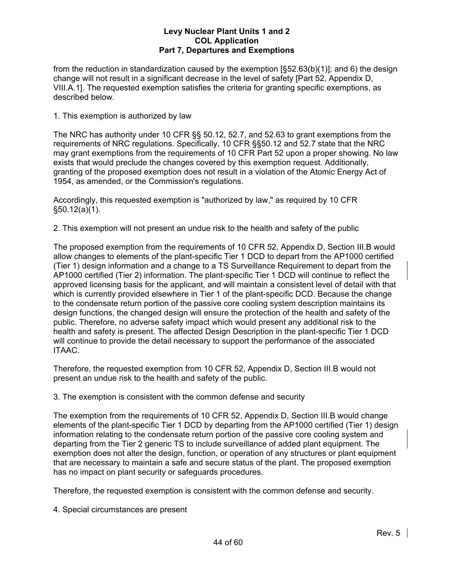from the reduction in standardization caused by the exemption [§52.63(b)(1)]; and 6) the design change will not result in a significant decrease in the level of safety [Part 52, Appendix D, VIII.A.1]. The requested exemption satisfies the criteria for granting specific exemptions, as described below.

1. This exemption is authorized by law

The NRC has authority under 10 CFR §§ 50.12, 52.7, and 52.63 to grant exemptions from the requirements of NRC regulations. Specifically, 10 CFR §§50.12 and 52.7 state that the NRC may grant exemptions from the requirements of 10 CFR Part 52 upon a proper showing. No law exists that would preclude the changes covered by this exemption request. Additionally, granting of the proposed exemption does not result in a violation of the Atomic Energy Act of 1954, as amended, or the Commission's regulations.

Accordingly, this requested exemption is "authorized by law," as required by 10 CFR §50.12(a)(1).

2. This exemption will not present an undue risk to the health and safety of the public

The proposed exemption from the requirements of 10 CFR 52, Appendix D, Section III.B would allow changes to elements of the plant-specific Tier 1 DCD to depart from the AP1000 certified (Tier 1) design information and a change to a TS Surveillance Requirement to depart from the AP1000 certified (Tier 2) information. The plant-specific Tier 1 DCD will continue to reflect the approved licensing basis for the applicant, and will maintain a consistent level of detail with that which is currently provided elsewhere in Tier 1 of the plant-specific DCD. Because the change to the condensate return portion of the passive core cooling system description maintains its design functions, the changed design will ensure the protection of the health and safety of the public. Therefore, no adverse safety impact which would present any additional risk to the health and safety is present. The affected Design Description in the plant-specific Tier 1 DCD will continue to provide the detail necessary to support the performance of the associated ITAAC.

Therefore, the requested exemption from 10 CFR 52, Appendix D, Section III.B would not present an undue risk to the health and safety of the public.

3. The exemption is consistent with the common defense and security

The exemption from the requirements of 10 CFR 52, Appendix D, Section III.B would change elements of the plant-specific Tier 1 DCD by departing from the AP1000 certified (Tier 1) design information relating to the condensate return portion of the passive core cooling system and departing from the Tier 2 generic TS to include surveillance of added plant equipment. The exemption does not alter the design, function, or operation of any structures or plant equipment that are necessary to maintain a safe and secure status of the plant. The proposed exemption has no impact on plant security or safeguards procedures.

Therefore, the requested exemption is consistent with the common defense and security.

4. Special circumstances are present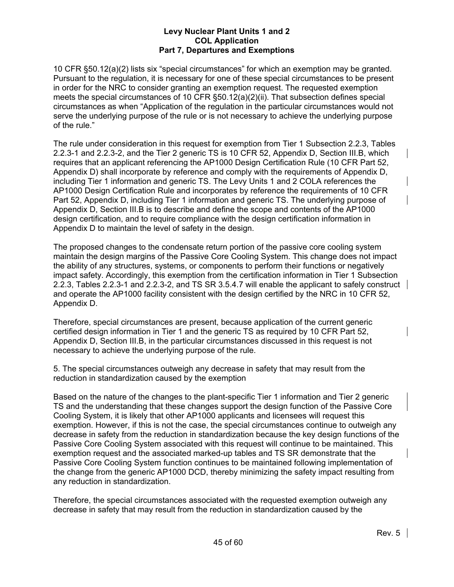10 CFR §50.12(a)(2) lists six "special circumstances" for which an exemption may be granted. Pursuant to the regulation, it is necessary for one of these special circumstances to be present in order for the NRC to consider granting an exemption request. The requested exemption meets the special circumstances of 10 CFR §50.12(a)(2)(ii). That subsection defines special circumstances as when "Application of the regulation in the particular circumstances would not serve the underlying purpose of the rule or is not necessary to achieve the underlying purpose of the rule."

The rule under consideration in this request for exemption from Tier 1 Subsection 2.2.3, Tables 2.2.3-1 and 2.2.3-2, and the Tier 2 generic TS is 10 CFR 52, Appendix D, Section III.B, which requires that an applicant referencing the AP1000 Design Certification Rule (10 CFR Part 52, Appendix D) shall incorporate by reference and comply with the requirements of Appendix D, including Tier 1 information and generic TS. The Levy Units 1 and 2 COLA references the AP1000 Design Certification Rule and incorporates by reference the requirements of 10 CFR Part 52, Appendix D, including Tier 1 information and generic TS. The underlying purpose of Appendix D, Section III.B is to describe and define the scope and contents of the AP1000 design certification, and to require compliance with the design certification information in Appendix D to maintain the level of safety in the design.

The proposed changes to the condensate return portion of the passive core cooling system maintain the design margins of the Passive Core Cooling System. This change does not impact the ability of any structures, systems, or components to perform their functions or negatively impact safety. Accordingly, this exemption from the certification information in Tier 1 Subsection 2.2.3, Tables 2.2.3-1 and 2.2.3-2, and TS SR 3.5.4.7 will enable the applicant to safely construct and operate the AP1000 facility consistent with the design certified by the NRC in 10 CFR 52, Appendix D.

Therefore, special circumstances are present, because application of the current generic certified design information in Tier 1 and the generic TS as required by 10 CFR Part 52, Appendix D, Section III.B, in the particular circumstances discussed in this request is not necessary to achieve the underlying purpose of the rule.

5. The special circumstances outweigh any decrease in safety that may result from the reduction in standardization caused by the exemption

Based on the nature of the changes to the plant-specific Tier 1 information and Tier 2 generic TS and the understanding that these changes support the design function of the Passive Core Cooling System, it is likely that other AP1000 applicants and licensees will request this exemption. However, if this is not the case, the special circumstances continue to outweigh any decrease in safety from the reduction in standardization because the key design functions of the Passive Core Cooling System associated with this request will continue to be maintained. This exemption request and the associated marked-up tables and TS SR demonstrate that the Passive Core Cooling System function continues to be maintained following implementation of the change from the generic AP1000 DCD, thereby minimizing the safety impact resulting from any reduction in standardization.

Therefore, the special circumstances associated with the requested exemption outweigh any decrease in safety that may result from the reduction in standardization caused by the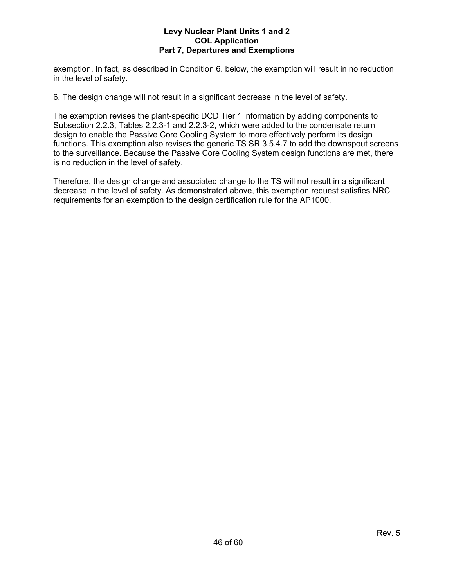exemption. In fact, as described in Condition 6. below, the exemption will result in no reduction in the level of safety.

6. The design change will not result in a significant decrease in the level of safety.

The exemption revises the plant-specific DCD Tier 1 information by adding components to Subsection 2.2.3, Tables 2.2.3-1 and 2.2.3-2, which were added to the condensate return design to enable the Passive Core Cooling System to more effectively perform its design functions. This exemption also revises the generic TS SR 3.5.4.7 to add the downspout screens to the surveillance. Because the Passive Core Cooling System design functions are met, there is no reduction in the level of safety.

Therefore, the design change and associated change to the TS will not result in a significant decrease in the level of safety. As demonstrated above, this exemption request satisfies NRC requirements for an exemption to the design certification rule for the AP1000.

 $\overline{\phantom{a}}$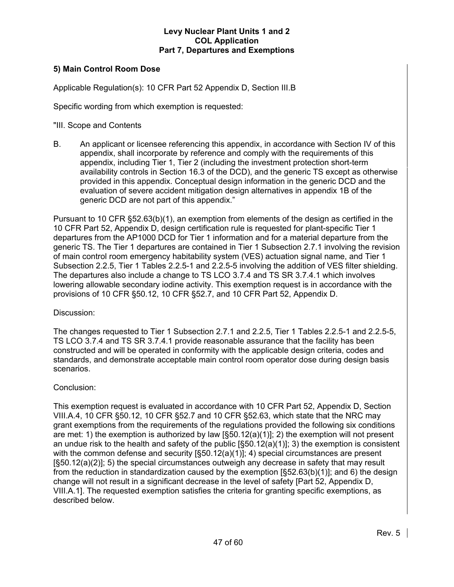# **5) Main Control Room Dose**

Applicable Regulation(s): 10 CFR Part 52 Appendix D, Section III.B

Specific wording from which exemption is requested:

"III. Scope and Contents

B. An applicant or licensee referencing this appendix, in accordance with Section IV of this appendix, shall incorporate by reference and comply with the requirements of this appendix, including Tier 1, Tier 2 (including the investment protection short-term availability controls in Section 16.3 of the DCD), and the generic TS except as otherwise provided in this appendix. Conceptual design information in the generic DCD and the evaluation of severe accident mitigation design alternatives in appendix 1B of the generic DCD are not part of this appendix."

Pursuant to 10 CFR §52.63(b)(1), an exemption from elements of the design as certified in the 10 CFR Part 52, Appendix D, design certification rule is requested for plant-specific Tier 1 departures from the AP1000 DCD for Tier 1 information and for a material departure from the generic TS. The Tier 1 departures are contained in Tier 1 Subsection 2.7.1 involving the revision of main control room emergency habitability system (VES) actuation signal name, and Tier 1 Subsection 2.2.5, Tier 1 Tables 2.2.5-1 and 2.2.5-5 involving the addition of VES filter shielding. The departures also include a change to TS LCO 3.7.4 and TS SR 3.7.4.1 which involves lowering allowable secondary iodine activity. This exemption request is in accordance with the provisions of 10 CFR §50.12, 10 CFR §52.7, and 10 CFR Part 52, Appendix D.

#### Discussion:

The changes requested to Tier 1 Subsection 2.7.1 and 2.2.5, Tier 1 Tables 2.2.5-1 and 2.2.5-5, TS LCO 3.7.4 and TS SR 3.7.4.1 provide reasonable assurance that the facility has been constructed and will be operated in conformity with the applicable design criteria, codes and standards, and demonstrate acceptable main control room operator dose during design basis scenarios.

# Conclusion:

This exemption request is evaluated in accordance with 10 CFR Part 52, Appendix D, Section VIII.A.4, 10 CFR §50.12, 10 CFR §52.7 and 10 CFR §52.63, which state that the NRC may grant exemptions from the requirements of the regulations provided the following six conditions are met: 1) the exemption is authorized by law  $\left[ \frac{50.12(a)}{1} \right]$ ; 2) the exemption will not present an undue risk to the health and safety of the public  $\S50.12(a)(1)$ ; 3) the exemption is consistent with the common defense and security  $[§50.12(a)(1)]$ ; 4) special circumstances are present [§50.12(a)(2)]; 5) the special circumstances outweigh any decrease in safety that may result from the reduction in standardization caused by the exemption [§52.63(b)(1)]; and 6) the design change will not result in a significant decrease in the level of safety [Part 52, Appendix D, VIII.A.1]. The requested exemption satisfies the criteria for granting specific exemptions, as described below.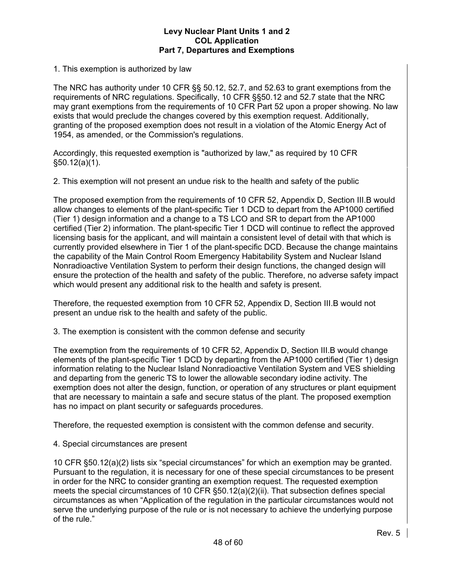# 1. This exemption is authorized by law

The NRC has authority under 10 CFR §§ 50.12, 52.7, and 52.63 to grant exemptions from the requirements of NRC regulations. Specifically, 10 CFR §§50.12 and 52.7 state that the NRC may grant exemptions from the requirements of 10 CFR Part 52 upon a proper showing. No law exists that would preclude the changes covered by this exemption request. Additionally, granting of the proposed exemption does not result in a violation of the Atomic Energy Act of 1954, as amended, or the Commission's regulations.

Accordingly, this requested exemption is "authorized by law," as required by 10 CFR §50.12(a)(1).

2. This exemption will not present an undue risk to the health and safety of the public

The proposed exemption from the requirements of 10 CFR 52, Appendix D, Section III.B would allow changes to elements of the plant-specific Tier 1 DCD to depart from the AP1000 certified (Tier 1) design information and a change to a TS LCO and SR to depart from the AP1000 certified (Tier 2) information. The plant-specific Tier 1 DCD will continue to reflect the approved licensing basis for the applicant, and will maintain a consistent level of detail with that which is currently provided elsewhere in Tier 1 of the plant-specific DCD. Because the change maintains the capability of the Main Control Room Emergency Habitability System and Nuclear Island Nonradioactive Ventilation System to perform their design functions, the changed design will ensure the protection of the health and safety of the public. Therefore, no adverse safety impact which would present any additional risk to the health and safety is present.

Therefore, the requested exemption from 10 CFR 52, Appendix D, Section III.B would not present an undue risk to the health and safety of the public.

3. The exemption is consistent with the common defense and security

The exemption from the requirements of 10 CFR 52, Appendix D, Section III.B would change elements of the plant-specific Tier 1 DCD by departing from the AP1000 certified (Tier 1) design information relating to the Nuclear Island Nonradioactive Ventilation System and VES shielding and departing from the generic TS to lower the allowable secondary iodine activity. The exemption does not alter the design, function, or operation of any structures or plant equipment that are necessary to maintain a safe and secure status of the plant. The proposed exemption has no impact on plant security or safeguards procedures.

Therefore, the requested exemption is consistent with the common defense and security.

# 4. Special circumstances are present

10 CFR §50.12(a)(2) lists six "special circumstances" for which an exemption may be granted. Pursuant to the regulation, it is necessary for one of these special circumstances to be present in order for the NRC to consider granting an exemption request. The requested exemption meets the special circumstances of 10 CFR §50.12(a)(2)(ii). That subsection defines special circumstances as when "Application of the regulation in the particular circumstances would not serve the underlying purpose of the rule or is not necessary to achieve the underlying purpose of the rule."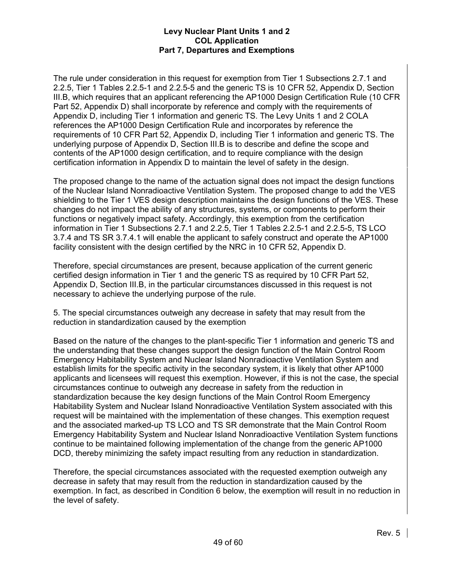The rule under consideration in this request for exemption from Tier 1 Subsections 2.7.1 and 2.2.5, Tier 1 Tables 2.2.5-1 and 2.2.5-5 and the generic TS is 10 CFR 52, Appendix D, Section III.B, which requires that an applicant referencing the AP1000 Design Certification Rule (10 CFR Part 52, Appendix D) shall incorporate by reference and comply with the requirements of Appendix D, including Tier 1 information and generic TS. The Levy Units 1 and 2 COLA references the AP1000 Design Certification Rule and incorporates by reference the requirements of 10 CFR Part 52, Appendix D, including Tier 1 information and generic TS. The underlying purpose of Appendix D, Section III.B is to describe and define the scope and contents of the AP1000 design certification, and to require compliance with the design certification information in Appendix D to maintain the level of safety in the design.

The proposed change to the name of the actuation signal does not impact the design functions of the Nuclear Island Nonradioactive Ventilation System. The proposed change to add the VES shielding to the Tier 1 VES design description maintains the design functions of the VES. These changes do not impact the ability of any structures, systems, or components to perform their functions or negatively impact safety. Accordingly, this exemption from the certification information in Tier 1 Subsections 2.7.1 and 2.2.5, Tier 1 Tables 2.2.5-1 and 2.2.5-5, TS LCO 3.7.4 and TS SR 3.7.4.1 will enable the applicant to safely construct and operate the AP1000 facility consistent with the design certified by the NRC in 10 CFR 52, Appendix D.

Therefore, special circumstances are present, because application of the current generic certified design information in Tier 1 and the generic TS as required by 10 CFR Part 52, Appendix D, Section III.B, in the particular circumstances discussed in this request is not necessary to achieve the underlying purpose of the rule.

5. The special circumstances outweigh any decrease in safety that may result from the reduction in standardization caused by the exemption

Based on the nature of the changes to the plant-specific Tier 1 information and generic TS and the understanding that these changes support the design function of the Main Control Room Emergency Habitability System and Nuclear Island Nonradioactive Ventilation System and establish limits for the specific activity in the secondary system, it is likely that other AP1000 applicants and licensees will request this exemption. However, if this is not the case, the special circumstances continue to outweigh any decrease in safety from the reduction in standardization because the key design functions of the Main Control Room Emergency Habitability System and Nuclear Island Nonradioactive Ventilation System associated with this request will be maintained with the implementation of these changes. This exemption request and the associated marked-up TS LCO and TS SR demonstrate that the Main Control Room Emergency Habitability System and Nuclear Island Nonradioactive Ventilation System functions continue to be maintained following implementation of the change from the generic AP1000 DCD, thereby minimizing the safety impact resulting from any reduction in standardization.

Therefore, the special circumstances associated with the requested exemption outweigh any decrease in safety that may result from the reduction in standardization caused by the exemption. In fact, as described in Condition 6 below, the exemption will result in no reduction in the level of safety.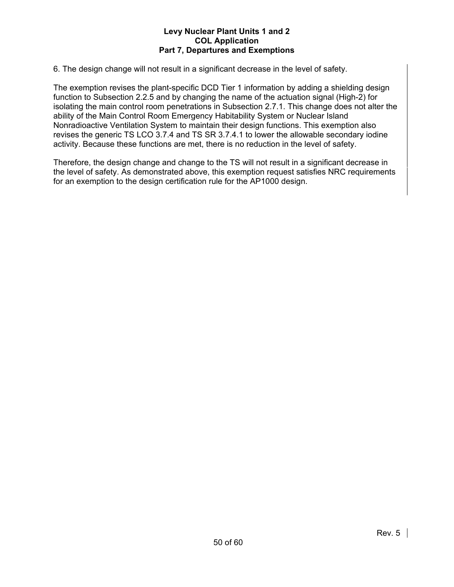6. The design change will not result in a significant decrease in the level of safety.

The exemption revises the plant-specific DCD Tier 1 information by adding a shielding design function to Subsection 2.2.5 and by changing the name of the actuation signal (High-2) for isolating the main control room penetrations in Subsection 2.7.1. This change does not alter the ability of the Main Control Room Emergency Habitability System or Nuclear Island Nonradioactive Ventilation System to maintain their design functions. This exemption also revises the generic TS LCO 3.7.4 and TS SR 3.7.4.1 to lower the allowable secondary iodine activity. Because these functions are met, there is no reduction in the level of safety.

Therefore, the design change and change to the TS will not result in a significant decrease in the level of safety. As demonstrated above, this exemption request satisfies NRC requirements for an exemption to the design certification rule for the AP1000 design.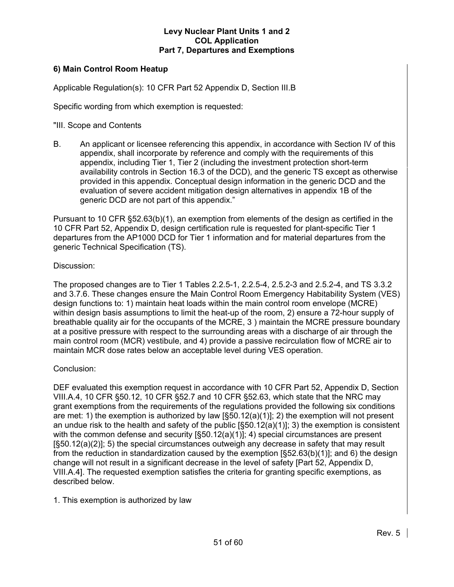# **6) Main Control Room Heatup**

Applicable Regulation(s): 10 CFR Part 52 Appendix D, Section III.B

Specific wording from which exemption is requested:

"III. Scope and Contents

B. An applicant or licensee referencing this appendix, in accordance with Section IV of this appendix, shall incorporate by reference and comply with the requirements of this appendix, including Tier 1, Tier 2 (including the investment protection short-term availability controls in Section 16.3 of the DCD), and the generic TS except as otherwise provided in this appendix. Conceptual design information in the generic DCD and the evaluation of severe accident mitigation design alternatives in appendix 1B of the generic DCD are not part of this appendix."

Pursuant to 10 CFR §52.63(b)(1), an exemption from elements of the design as certified in the 10 CFR Part 52, Appendix D, design certification rule is requested for plant-specific Tier 1 departures from the AP1000 DCD for Tier 1 information and for material departures from the generic Technical Specification (TS).

# Discussion:

The proposed changes are to Tier 1 Tables 2.2.5-1, 2.2.5-4, 2.5.2-3 and 2.5.2-4, and TS 3.3.2 and 3.7.6. These changes ensure the Main Control Room Emergency Habitability System (VES) design functions to: 1) maintain heat loads within the main control room envelope (MCRE) within design basis assumptions to limit the heat-up of the room, 2) ensure a 72-hour supply of breathable quality air for the occupants of the MCRE, 3 ) maintain the MCRE pressure boundary at a positive pressure with respect to the surrounding areas with a discharge of air through the main control room (MCR) vestibule, and 4) provide a passive recirculation flow of MCRE air to maintain MCR dose rates below an acceptable level during VES operation.

# Conclusion:

DEF evaluated this exemption request in accordance with 10 CFR Part 52, Appendix D, Section VIII.A.4, 10 CFR §50.12, 10 CFR §52.7 and 10 CFR §52.63, which state that the NRC may grant exemptions from the requirements of the regulations provided the following six conditions are met: 1) the exemption is authorized by law [§50.12(a)(1)]; 2) the exemption will not present an undue risk to the health and safety of the public  $[§50.12(a)(1)]$ ; 3) the exemption is consistent with the common defense and security [§50.12(a)(1)]; 4) special circumstances are present [§50.12(a)(2)]; 5) the special circumstances outweigh any decrease in safety that may result from the reduction in standardization caused by the exemption [§52.63(b)(1)]; and 6) the design change will not result in a significant decrease in the level of safety [Part 52, Appendix D, VIII.A.4]. The requested exemption satisfies the criteria for granting specific exemptions, as described below.

1. This exemption is authorized by law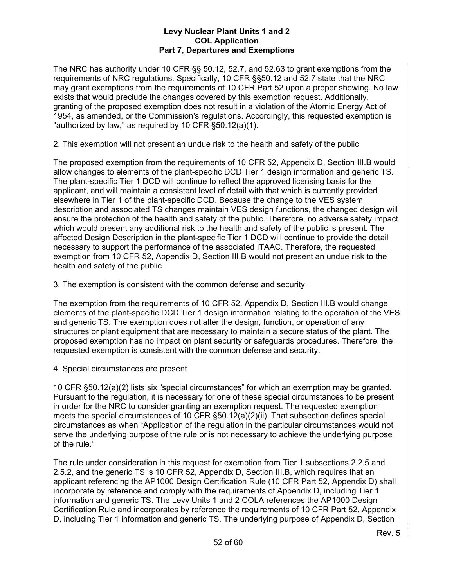The NRC has authority under 10 CFR §§ 50.12, 52.7, and 52.63 to grant exemptions from the requirements of NRC regulations. Specifically, 10 CFR §§50.12 and 52.7 state that the NRC may grant exemptions from the requirements of 10 CFR Part 52 upon a proper showing. No law exists that would preclude the changes covered by this exemption request. Additionally, granting of the proposed exemption does not result in a violation of the Atomic Energy Act of 1954, as amended, or the Commission's regulations. Accordingly, this requested exemption is "authorized by law," as required by 10 CFR §50.12(a)(1).

2. This exemption will not present an undue risk to the health and safety of the public

The proposed exemption from the requirements of 10 CFR 52, Appendix D, Section III.B would allow changes to elements of the plant-specific DCD Tier 1 design information and generic TS. The plant-specific Tier 1 DCD will continue to reflect the approved licensing basis for the applicant, and will maintain a consistent level of detail with that which is currently provided elsewhere in Tier 1 of the plant-specific DCD. Because the change to the VES system description and associated TS changes maintain VES design functions, the changed design will ensure the protection of the health and safety of the public. Therefore, no adverse safety impact which would present any additional risk to the health and safety of the public is present. The affected Design Description in the plant-specific Tier 1 DCD will continue to provide the detail necessary to support the performance of the associated ITAAC. Therefore, the requested exemption from 10 CFR 52, Appendix D, Section III.B would not present an undue risk to the health and safety of the public.

3. The exemption is consistent with the common defense and security

The exemption from the requirements of 10 CFR 52, Appendix D, Section III.B would change elements of the plant-specific DCD Tier 1 design information relating to the operation of the VES and generic TS. The exemption does not alter the design, function, or operation of any structures or plant equipment that are necessary to maintain a secure status of the plant. The proposed exemption has no impact on plant security or safeguards procedures. Therefore, the requested exemption is consistent with the common defense and security.

4. Special circumstances are present

10 CFR §50.12(a)(2) lists six "special circumstances" for which an exemption may be granted. Pursuant to the regulation, it is necessary for one of these special circumstances to be present in order for the NRC to consider granting an exemption request. The requested exemption meets the special circumstances of 10 CFR §50.12(a)(2)(ii). That subsection defines special circumstances as when "Application of the regulation in the particular circumstances would not serve the underlying purpose of the rule or is not necessary to achieve the underlying purpose of the rule."

The rule under consideration in this request for exemption from Tier 1 subsections 2.2.5 and 2.5.2, and the generic TS is 10 CFR 52, Appendix D, Section III.B, which requires that an applicant referencing the AP1000 Design Certification Rule (10 CFR Part 52, Appendix D) shall incorporate by reference and comply with the requirements of Appendix D, including Tier 1 information and generic TS. The Levy Units 1 and 2 COLA references the AP1000 Design Certification Rule and incorporates by reference the requirements of 10 CFR Part 52, Appendix D, including Tier 1 information and generic TS. The underlying purpose of Appendix D, Section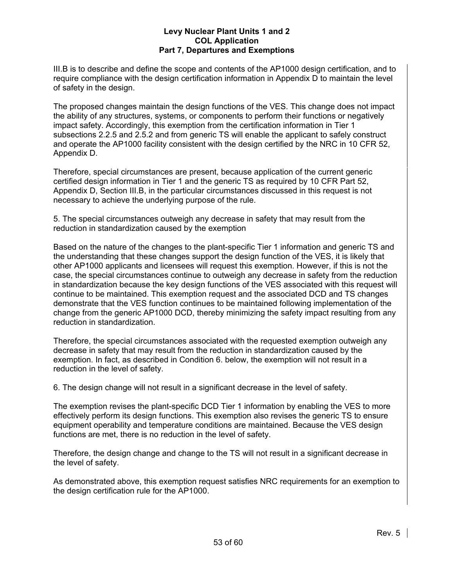III.B is to describe and define the scope and contents of the AP1000 design certification, and to require compliance with the design certification information in Appendix D to maintain the level of safety in the design.

The proposed changes maintain the design functions of the VES. This change does not impact the ability of any structures, systems, or components to perform their functions or negatively impact safety. Accordingly, this exemption from the certification information in Tier 1 subsections 2.2.5 and 2.5.2 and from generic TS will enable the applicant to safely construct and operate the AP1000 facility consistent with the design certified by the NRC in 10 CFR 52, Appendix D.

Therefore, special circumstances are present, because application of the current generic certified design information in Tier 1 and the generic TS as required by 10 CFR Part 52, Appendix D, Section III.B, in the particular circumstances discussed in this request is not necessary to achieve the underlying purpose of the rule.

5. The special circumstances outweigh any decrease in safety that may result from the reduction in standardization caused by the exemption

Based on the nature of the changes to the plant-specific Tier 1 information and generic TS and the understanding that these changes support the design function of the VES, it is likely that other AP1000 applicants and licensees will request this exemption. However, if this is not the case, the special circumstances continue to outweigh any decrease in safety from the reduction in standardization because the key design functions of the VES associated with this request will continue to be maintained. This exemption request and the associated DCD and TS changes demonstrate that the VES function continues to be maintained following implementation of the change from the generic AP1000 DCD, thereby minimizing the safety impact resulting from any reduction in standardization.

Therefore, the special circumstances associated with the requested exemption outweigh any decrease in safety that may result from the reduction in standardization caused by the exemption. In fact, as described in Condition 6. below, the exemption will not result in a reduction in the level of safety.

6. The design change will not result in a significant decrease in the level of safety.

The exemption revises the plant-specific DCD Tier 1 information by enabling the VES to more effectively perform its design functions. This exemption also revises the generic TS to ensure equipment operability and temperature conditions are maintained. Because the VES design functions are met, there is no reduction in the level of safety.

Therefore, the design change and change to the TS will not result in a significant decrease in the level of safety.

As demonstrated above, this exemption request satisfies NRC requirements for an exemption to the design certification rule for the AP1000.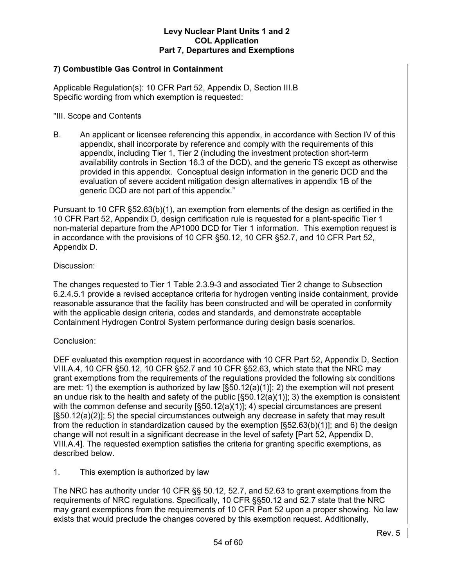# **7) Combustible Gas Control in Containment**

Applicable Regulation(s): 10 CFR Part 52, Appendix D, Section III.B Specific wording from which exemption is requested:

# "III. Scope and Contents

B. An applicant or licensee referencing this appendix, in accordance with Section IV of this appendix, shall incorporate by reference and comply with the requirements of this appendix, including Tier 1, Tier 2 (including the investment protection short-term availability controls in Section 16.3 of the DCD), and the generic TS except as otherwise provided in this appendix. Conceptual design information in the generic DCD and the evaluation of severe accident mitigation design alternatives in appendix 1B of the generic DCD are not part of this appendix."

Pursuant to 10 CFR §52.63(b)(1), an exemption from elements of the design as certified in the 10 CFR Part 52, Appendix D, design certification rule is requested for a plant-specific Tier 1 non-material departure from the AP1000 DCD for Tier 1 information. This exemption request is in accordance with the provisions of 10 CFR §50.12, 10 CFR §52.7, and 10 CFR Part 52, Appendix D.

# Discussion:

The changes requested to Tier 1 Table 2.3.9-3 and associated Tier 2 change to Subsection 6.2.4.5.1 provide a revised acceptance criteria for hydrogen venting inside containment, provide reasonable assurance that the facility has been constructed and will be operated in conformity with the applicable design criteria, codes and standards, and demonstrate acceptable Containment Hydrogen Control System performance during design basis scenarios.

# Conclusion:

DEF evaluated this exemption request in accordance with 10 CFR Part 52, Appendix D, Section VIII.A.4, 10 CFR §50.12, 10 CFR §52.7 and 10 CFR §52.63, which state that the NRC may grant exemptions from the requirements of the regulations provided the following six conditions are met: 1) the exemption is authorized by law  $[§50.12(a)(1)]; 2)$  the exemption will not present an undue risk to the health and safety of the public  $[§50.12(a)(1)]$ ; 3) the exemption is consistent with the common defense and security  $[§50.12(a)(1)]$ ; 4) special circumstances are present [§50.12(a)(2)]; 5) the special circumstances outweigh any decrease in safety that may result from the reduction in standardization caused by the exemption [§52.63(b)(1)]; and 6) the design change will not result in a significant decrease in the level of safety [Part 52, Appendix D, VIII.A.4]. The requested exemption satisfies the criteria for granting specific exemptions, as described below.

#### 1. This exemption is authorized by law

The NRC has authority under 10 CFR §§ 50.12, 52.7, and 52.63 to grant exemptions from the requirements of NRC regulations. Specifically, 10 CFR §§50.12 and 52.7 state that the NRC may grant exemptions from the requirements of 10 CFR Part 52 upon a proper showing. No law exists that would preclude the changes covered by this exemption request. Additionally,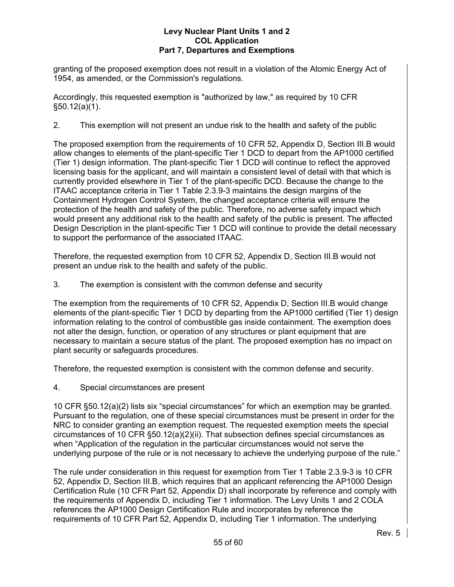granting of the proposed exemption does not result in a violation of the Atomic Energy Act of 1954, as amended, or the Commission's regulations.

Accordingly, this requested exemption is "authorized by law," as required by 10 CFR §50.12(a)(1).

2. This exemption will not present an undue risk to the health and safety of the public

The proposed exemption from the requirements of 10 CFR 52, Appendix D, Section III.B would allow changes to elements of the plant-specific Tier 1 DCD to depart from the AP1000 certified (Tier 1) design information. The plant-specific Tier 1 DCD will continue to reflect the approved licensing basis for the applicant, and will maintain a consistent level of detail with that which is currently provided elsewhere in Tier 1 of the plant-specific DCD. Because the change to the ITAAC acceptance criteria in Tier 1 Table 2.3.9-3 maintains the design margins of the Containment Hydrogen Control System, the changed acceptance criteria will ensure the protection of the health and safety of the public. Therefore, no adverse safety impact which would present any additional risk to the health and safety of the public is present. The affected Design Description in the plant-specific Tier 1 DCD will continue to provide the detail necessary to support the performance of the associated ITAAC.

Therefore, the requested exemption from 10 CFR 52, Appendix D, Section III.B would not present an undue risk to the health and safety of the public.

3. The exemption is consistent with the common defense and security

The exemption from the requirements of 10 CFR 52, Appendix D, Section III.B would change elements of the plant-specific Tier 1 DCD by departing from the AP1000 certified (Tier 1) design information relating to the control of combustible gas inside containment. The exemption does not alter the design, function, or operation of any structures or plant equipment that are necessary to maintain a secure status of the plant. The proposed exemption has no impact on plant security or safeguards procedures.

Therefore, the requested exemption is consistent with the common defense and security.

4. Special circumstances are present

10 CFR §50.12(a)(2) lists six "special circumstances" for which an exemption may be granted. Pursuant to the regulation, one of these special circumstances must be present in order for the NRC to consider granting an exemption request. The requested exemption meets the special circumstances of 10 CFR §50.12(a)(2)(ii). That subsection defines special circumstances as when "Application of the regulation in the particular circumstances would not serve the underlying purpose of the rule or is not necessary to achieve the underlying purpose of the rule."

The rule under consideration in this request for exemption from Tier 1 Table 2.3.9-3 is 10 CFR 52, Appendix D, Section III.B, which requires that an applicant referencing the AP1000 Design Certification Rule (10 CFR Part 52, Appendix D) shall incorporate by reference and comply with the requirements of Appendix D, including Tier 1 information. The Levy Units 1 and 2 COLA references the AP1000 Design Certification Rule and incorporates by reference the requirements of 10 CFR Part 52, Appendix D, including Tier 1 information. The underlying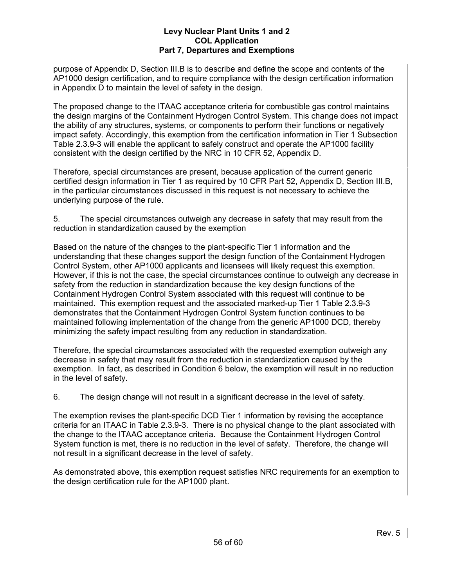purpose of Appendix D, Section III.B is to describe and define the scope and contents of the AP1000 design certification, and to require compliance with the design certification information in Appendix D to maintain the level of safety in the design.

The proposed change to the ITAAC acceptance criteria for combustible gas control maintains the design margins of the Containment Hydrogen Control System. This change does not impact the ability of any structures, systems, or components to perform their functions or negatively impact safety. Accordingly, this exemption from the certification information in Tier 1 Subsection Table 2.3.9-3 will enable the applicant to safely construct and operate the AP1000 facility consistent with the design certified by the NRC in 10 CFR 52, Appendix D.

Therefore, special circumstances are present, because application of the current generic certified design information in Tier 1 as required by 10 CFR Part 52, Appendix D, Section III.B, in the particular circumstances discussed in this request is not necessary to achieve the underlying purpose of the rule.

5. The special circumstances outweigh any decrease in safety that may result from the reduction in standardization caused by the exemption

Based on the nature of the changes to the plant-specific Tier 1 information and the understanding that these changes support the design function of the Containment Hydrogen Control System, other AP1000 applicants and licensees will likely request this exemption. However, if this is not the case, the special circumstances continue to outweigh any decrease in safety from the reduction in standardization because the key design functions of the Containment Hydrogen Control System associated with this request will continue to be maintained. This exemption request and the associated marked-up Tier 1 Table 2.3.9-3 demonstrates that the Containment Hydrogen Control System function continues to be maintained following implementation of the change from the generic AP1000 DCD, thereby minimizing the safety impact resulting from any reduction in standardization.

Therefore, the special circumstances associated with the requested exemption outweigh any decrease in safety that may result from the reduction in standardization caused by the exemption. In fact, as described in Condition 6 below, the exemption will result in no reduction in the level of safety.

6. The design change will not result in a significant decrease in the level of safety.

The exemption revises the plant-specific DCD Tier 1 information by revising the acceptance criteria for an ITAAC in Table 2.3.9-3. There is no physical change to the plant associated with the change to the ITAAC acceptance criteria. Because the Containment Hydrogen Control System function is met, there is no reduction in the level of safety. Therefore, the change will not result in a significant decrease in the level of safety.

As demonstrated above, this exemption request satisfies NRC requirements for an exemption to the design certification rule for the AP1000 plant.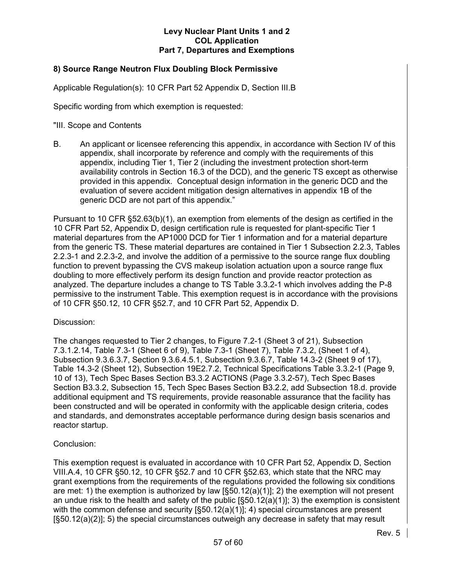# **8) Source Range Neutron Flux Doubling Block Permissive**

Applicable Regulation(s): 10 CFR Part 52 Appendix D, Section III.B

Specific wording from which exemption is requested:

"III. Scope and Contents

B. An applicant or licensee referencing this appendix, in accordance with Section IV of this appendix, shall incorporate by reference and comply with the requirements of this appendix, including Tier 1, Tier 2 (including the investment protection short-term availability controls in Section 16.3 of the DCD), and the generic TS except as otherwise provided in this appendix. Conceptual design information in the generic DCD and the evaluation of severe accident mitigation design alternatives in appendix 1B of the generic DCD are not part of this appendix."

Pursuant to 10 CFR §52.63(b)(1), an exemption from elements of the design as certified in the 10 CFR Part 52, Appendix D, design certification rule is requested for plant-specific Tier 1 material departures from the AP1000 DCD for Tier 1 information and for a material departure from the generic TS. These material departures are contained in Tier 1 Subsection 2.2.3, Tables 2.2.3-1 and 2.2.3-2, and involve the addition of a permissive to the source range flux doubling function to prevent bypassing the CVS makeup isolation actuation upon a source range flux doubling to more effectively perform its design function and provide reactor protection as analyzed. The departure includes a change to TS Table 3.3.2-1 which involves adding the P-8 permissive to the instrument Table. This exemption request is in accordance with the provisions of 10 CFR §50.12, 10 CFR §52.7, and 10 CFR Part 52, Appendix D.

#### Discussion:

The changes requested to Tier 2 changes, to Figure 7.2-1 (Sheet 3 of 21), Subsection 7.3.1.2.14, Table 7.3-1 (Sheet 6 of 9), Table 7.3-1 (Sheet 7), Table 7.3.2, (Sheet 1 of 4), Subsection 9.3.6.3.7, Section 9.3.6.4.5.1, Subsection 9.3.6.7, Table 14.3-2 (Sheet 9 of 17), Table 14.3-2 (Sheet 12), Subsection 19E2.7.2, Technical Specifications Table 3.3.2-1 (Page 9, 10 of 13), Tech Spec Bases Section B3.3.2 ACTIONS (Page 3.3.2-57), Tech Spec Bases Section B3.3.2, Subsection 15, Tech Spec Bases Section B3.2.2, add Subsection 18.d. provide additional equipment and TS requirements, provide reasonable assurance that the facility has been constructed and will be operated in conformity with the applicable design criteria, codes and standards, and demonstrates acceptable performance during design basis scenarios and reactor startup.

# Conclusion:

This exemption request is evaluated in accordance with 10 CFR Part 52, Appendix D, Section VIII.A.4, 10 CFR §50.12, 10 CFR §52.7 and 10 CFR §52.63, which state that the NRC may grant exemptions from the requirements of the regulations provided the following six conditions are met: 1) the exemption is authorized by law  $\left[ \frac{50.12(a)}{1} \right]$ ; 2) the exemption will not present an undue risk to the health and safety of the public  $[\S 50.12(a)(1)]$ ; 3) the exemption is consistent with the common defense and security [§50.12(a)(1)]; 4) special circumstances are present [§50.12(a)(2)]; 5) the special circumstances outweigh any decrease in safety that may result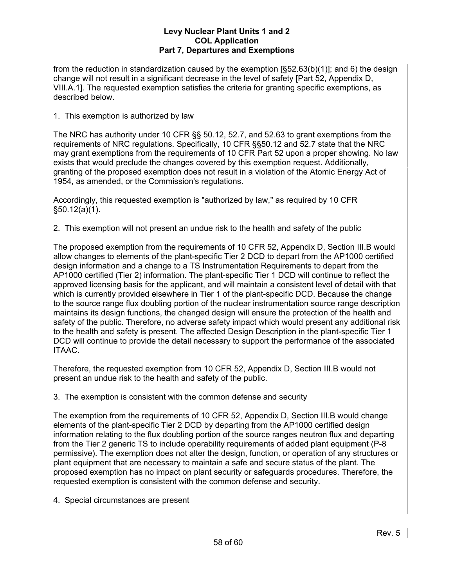from the reduction in standardization caused by the exemption [§52.63(b)(1)]; and 6) the design change will not result in a significant decrease in the level of safety [Part 52, Appendix D, VIII.A.1]. The requested exemption satisfies the criteria for granting specific exemptions, as described below.

1. This exemption is authorized by law

The NRC has authority under 10 CFR §§ 50.12, 52.7, and 52.63 to grant exemptions from the requirements of NRC regulations. Specifically, 10 CFR §§50.12 and 52.7 state that the NRC may grant exemptions from the requirements of 10 CFR Part 52 upon a proper showing. No law exists that would preclude the changes covered by this exemption request. Additionally, granting of the proposed exemption does not result in a violation of the Atomic Energy Act of 1954, as amended, or the Commission's regulations.

Accordingly, this requested exemption is "authorized by law," as required by 10 CFR §50.12(a)(1).

2. This exemption will not present an undue risk to the health and safety of the public

The proposed exemption from the requirements of 10 CFR 52, Appendix D, Section III.B would allow changes to elements of the plant-specific Tier 2 DCD to depart from the AP1000 certified design information and a change to a TS Instrumentation Requirements to depart from the AP1000 certified (Tier 2) information. The plant-specific Tier 1 DCD will continue to reflect the approved licensing basis for the applicant, and will maintain a consistent level of detail with that which is currently provided elsewhere in Tier 1 of the plant-specific DCD. Because the change to the source range flux doubling portion of the nuclear instrumentation source range description maintains its design functions, the changed design will ensure the protection of the health and safety of the public. Therefore, no adverse safety impact which would present any additional risk to the health and safety is present. The affected Design Description in the plant-specific Tier 1 DCD will continue to provide the detail necessary to support the performance of the associated ITAAC.

Therefore, the requested exemption from 10 CFR 52, Appendix D, Section III.B would not present an undue risk to the health and safety of the public.

3. The exemption is consistent with the common defense and security

The exemption from the requirements of 10 CFR 52, Appendix D, Section III.B would change elements of the plant-specific Tier 2 DCD by departing from the AP1000 certified design information relating to the flux doubling portion of the source ranges neutron flux and departing from the Tier 2 generic TS to include operability requirements of added plant equipment (P-8 permissive). The exemption does not alter the design, function, or operation of any structures or plant equipment that are necessary to maintain a safe and secure status of the plant. The proposed exemption has no impact on plant security or safeguards procedures. Therefore, the requested exemption is consistent with the common defense and security.

4. Special circumstances are present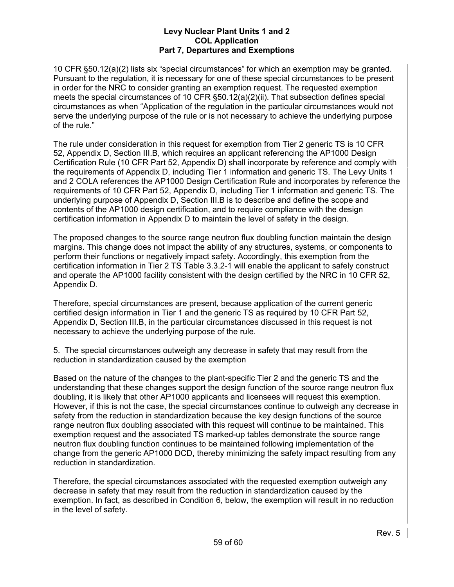10 CFR §50.12(a)(2) lists six "special circumstances" for which an exemption may be granted. Pursuant to the regulation, it is necessary for one of these special circumstances to be present in order for the NRC to consider granting an exemption request. The requested exemption meets the special circumstances of 10 CFR §50.12(a)(2)(ii). That subsection defines special circumstances as when "Application of the regulation in the particular circumstances would not serve the underlying purpose of the rule or is not necessary to achieve the underlying purpose of the rule."

The rule under consideration in this request for exemption from Tier 2 generic TS is 10 CFR 52, Appendix D, Section III.B, which requires an applicant referencing the AP1000 Design Certification Rule (10 CFR Part 52, Appendix D) shall incorporate by reference and comply with the requirements of Appendix D, including Tier 1 information and generic TS. The Levy Units 1 and 2 COLA references the AP1000 Design Certification Rule and incorporates by reference the requirements of 10 CFR Part 52, Appendix D, including Tier 1 information and generic TS. The underlying purpose of Appendix D, Section III.B is to describe and define the scope and contents of the AP1000 design certification, and to require compliance with the design certification information in Appendix D to maintain the level of safety in the design.

The proposed changes to the source range neutron flux doubling function maintain the design margins. This change does not impact the ability of any structures, systems, or components to perform their functions or negatively impact safety. Accordingly, this exemption from the certification information in Tier 2 TS Table 3.3.2-1 will enable the applicant to safely construct and operate the AP1000 facility consistent with the design certified by the NRC in 10 CFR 52, Appendix D.

Therefore, special circumstances are present, because application of the current generic certified design information in Tier 1 and the generic TS as required by 10 CFR Part 52, Appendix D, Section III.B, in the particular circumstances discussed in this request is not necessary to achieve the underlying purpose of the rule.

5. The special circumstances outweigh any decrease in safety that may result from the reduction in standardization caused by the exemption

Based on the nature of the changes to the plant-specific Tier 2 and the generic TS and the understanding that these changes support the design function of the source range neutron flux doubling, it is likely that other AP1000 applicants and licensees will request this exemption. However, if this is not the case, the special circumstances continue to outweigh any decrease in safety from the reduction in standardization because the key design functions of the source range neutron flux doubling associated with this request will continue to be maintained. This exemption request and the associated TS marked-up tables demonstrate the source range neutron flux doubling function continues to be maintained following implementation of the change from the generic AP1000 DCD, thereby minimizing the safety impact resulting from any reduction in standardization.

Therefore, the special circumstances associated with the requested exemption outweigh any decrease in safety that may result from the reduction in standardization caused by the exemption. In fact, as described in Condition 6, below, the exemption will result in no reduction in the level of safety.